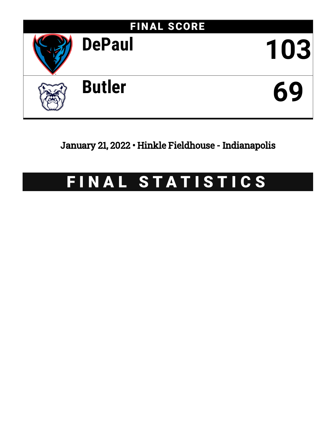

January 21, 2022 • Hinkle Fieldhouse - Indianapolis

# FINAL STATISTICS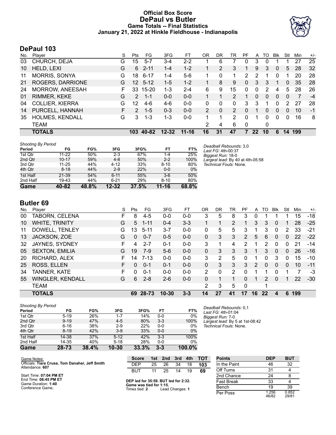# **Official Box Score DePaul vs Butler Game Totals -- Final Statistics January 21, 2022 at Hinkle Fieldhouse - Indianapolis**



# **DePaul 103**

| No. | Player                 | S  | <b>Pts</b>           | FG.       | 3FG       | FT        | ΟR             | DR           | TR            | PF           | A               | TO | <b>Blk</b>   | Stl | Min | $+/-$ |
|-----|------------------------|----|----------------------|-----------|-----------|-----------|----------------|--------------|---------------|--------------|-----------------|----|--------------|-----|-----|-------|
| 03  | CHURCH, DEJA           | G  | 15                   | $5 - 7$   | 3-4       | $2 - 2$   |                | 6            |               | 0            | 3               | 0  |              |     | 27  | 25    |
| 10  | HELD, LEXI             | G  | 6                    | $2 - 11$  | $1 - 4$   | $1 - 2$   |                | 2            | 3             | 1            | 9               | 3  | $\mathbf{0}$ | 5   | 28  | 32    |
| 11  | <b>MORRIS, SONYA</b>   | G  | 18                   | $6 - 17$  | 1-4       | $5-6$     |                | 0            |               | 2            | 2               |    | 0            |     | 20  | 28    |
| 21  | ROGERS, DARRIONE       | G  | $12^{\circ}$         | $5 - 12$  | $1-5$     | $1 - 2$   |                | 8            | 9             | $\mathbf{0}$ | 3               | 3  | 1            | 0   | 35  | 28    |
| 24  | MORROW, ANEESAH        | F  | 33                   | $15 - 20$ | $1 - 3$   | $2 - 4$   | 6              | 9            | 15            | $\Omega$     | 0               | 2  | 4            | 5   | 28  | 26    |
| 01  | RIMMER, KEKE           | G  | 2                    | $1 - 1$   | $0 - 0$   | $0 - 0$   |                |              | 2             |              | 0               | 0  | 0            | 0   | 7   | $-4$  |
| 04  | <b>COLLIER, KIERRA</b> | G  | $12 \,$              | $4-6$     | 4-6       | $0 - 0$   | 0              | 0            | 0             | 3            | 3               |    | 0            | 2   | 27  | 28    |
| 14  | PURCELL, HANNAH        | F. | $\mathbf{2}^{\circ}$ | $1 - 5$   | $0 - 3$   | $0 - 0$   | $\overline{2}$ | $\mathbf{0}$ | $\mathcal{P}$ | $\Omega$     |                 | 0  | 0            | 0   | 10  | $-1$  |
| 35  | <b>HOLMES, KENDALL</b> | G  | 3                    | $1 - 3$   | $1 - 3$   | $0 - 0$   |                |              | 2             | $\Omega$     |                 | 0  | 0            | 0   | 16  | 8     |
|     | <b>TEAM</b>            |    |                      |           |           |           | 2              | 4            | 6             | 0            |                 | 0  |              |     |     |       |
|     | <b>TOTALS</b>          |    | 103                  | 40-82     | $12 - 32$ | $11 - 16$ | 16             | 31           | 47            | 7            | 22 <sub>2</sub> | 10 | 6            | 14  | 199 |       |

| <b>Shooting By Period</b> |           |       |           |       |           |       | Deadball Rebounds: 3.0           |
|---------------------------|-----------|-------|-----------|-------|-----------|-------|----------------------------------|
| Period                    | FG        | FG%   | 3FG       | 3FG%  | FT        | FT%   | Last FG: 4th-00:37               |
| 1st Qtr                   | $11-22$   | 50%   | $2 - 3$   | 67%   | 1-4       | 25%   | Biggest Run: 18-0                |
| 2nd Qtr                   | $10 - 17$ | 59%   | $4 - 8$   | 50%   | $2 - 2$   | 100%  | Largest lead: By 40 at 4th-05:58 |
| 3rd Qtr                   | $11 - 25$ | 44%   | $4 - 12$  | 33%   | $8 - 10$  | 80%   | Technical Fouls: None.           |
| 4th Qtr                   | $8 - 18$  | 44%   | $2-9$     | 22%   | $0 - 0$   | 0%    |                                  |
| 1st Half                  | 21-39     | 54%   | $6 - 11$  | 55%   | $3-6$     | 50%   |                                  |
| 2nd Half                  | 19-43     | 44%   | $6 - 21$  | 29%   | $8 - 10$  | 80%   |                                  |
| Game                      | 40-82     | 48.8% | $12 - 32$ | 37.5% | $11 - 16$ | 68.8% |                                  |

# **Butler 69**

| No. | Plaver                  | S  | Pts | FG       | 3FG       | FТ      | 0R       | DR       | TR | РF             | A  | TO | <b>B</b> lk  | Stl          | Min | $+/-$ |
|-----|-------------------------|----|-----|----------|-----------|---------|----------|----------|----|----------------|----|----|--------------|--------------|-----|-------|
| 00  | TABORN, CELENA          | F. | 8   | $4 - 5$  | $0 - 0$   | $0 - 0$ | 3        | 5        | 8  | 3              | 0  |    |              |              | 15  | $-18$ |
| 10  | <b>WHITE, TRINITY</b>   | G  | 5   | $1 - 11$ | $0 - 4$   | $3 - 3$ |          |          | 2  |                | 3  | 3  | $\mathbf{0}$ |              | 28  | $-25$ |
| 11  | DOWELL, TENLEY          | G  | 13  | $5 - 11$ | $3 - 7$   | $0 - 0$ | 0        | 5        | 5  | 3              |    | 3  | 0            | 2            | 33  | $-21$ |
| 13  | JACKSON, ZOE            | G  | 0   | $0 - 7$  | $0 - 5$   | $0 - 0$ | 0        | 3        | 3  | $\overline{2}$ | 5  | 6  | $\mathbf{0}$ | $\mathbf{0}$ | 22  | $-22$ |
| 32  | JAYNES, SYDNEY          | F. | 4   | $2 - 7$  | $0 - 1$   | $0 - 0$ | 3        |          | 4  | 2              |    | 2  | 0            | 0            | 21  | $-14$ |
| 05  | <b>SEXTON, EMILIA</b>   | G  | 19  | $7-9$    | $5-6$     | $0 - 0$ | $\Omega$ | 3        | 3  | 3              |    | 3  | $\Omega$     | $\Omega$     | 26  | $-16$ |
| 20  | RICHARD, ALEX           | F. | 14  | $7 - 13$ | $0 - 0$   | $0 - 0$ | 3        | 2        | 5  | 0              | 1  | 0  | 3            | $\Omega$     | 15  | $-10$ |
| 25  | ROSS, ELLEN             | F  | 0   | $0 - 1$  | $0 - 1$   | $0 - 0$ | 0        | 3        | 3  | 3              | 2  | 0  | $\Omega$     | 0            | 10  | $-11$ |
| 34  | <b>TANNER, KATE</b>     | F  | 0   | $0 - 1$  | $0 - 0$   | $0 - 0$ | 2        | $\Omega$ | 2  | 0              |    |    | 0            |              |     | -3    |
| 55  | <b>WINGLER, KENDALL</b> | G  | 6   | $2 - 8$  | $2-6$     | $0 - 0$ | 0        |          |    | 0              |    | 2  | $\Omega$     |              | 22  | $-30$ |
|     | <b>TEAM</b>             |    |     |          |           |         | 2        | 3        | 5  | 0              |    | 1  |              |              |     |       |
|     | <b>TOTALS</b>           |    | 69  | 28-73    | $10 - 30$ | $3 - 3$ | 14       | 27       | 41 | 17             | 16 | 22 | 4            | 6            | 199 |       |

| <b>Shooting By Period</b> |          |       |           |       |         |        | Deadball         |
|---------------------------|----------|-------|-----------|-------|---------|--------|------------------|
| Period                    | FG       | FG%   | 3FG       | 3FG%  | FT      | FT%    | Last FG:         |
| 1st Qtr                   | $5 - 19$ | 26%   | $1 - 7$   | 14%   | $0 - 0$ | 0%     | <b>Biggest F</b> |
| 2nd Qtr                   | $9 - 19$ | 47%   | $4 - 5$   | 80%   | $3 - 3$ | 100%   | Largest le       |
| 3rd Qtr                   | $6 - 16$ | 38%   | $2-9$     | 22%   | $0 - 0$ | 0%     | Technica         |
| 4th Qtr                   | $8 - 19$ | 42%   | $3-9$     | 33%   | $0 - 0$ | $0\%$  |                  |
| 1st Half                  | 14-38    | 37%   | $5 - 12$  | 42%   | $3-3$   | 100%   |                  |
| 2nd Half                  | 14-35    | 40%   | $5 - 18$  | 28%   | $0-0$   | 0%     |                  |
| Game                      | 28-73    | 38.4% | $10 - 30$ | 33.3% | $3 - 3$ | 100.0% |                  |

*Deadball Rebounds:* 0,1 *Last FG:* 4th-01:04 *Biggest Run:* 7-0 *Largest lead:* By 5 at 1st-08:42 *Technical Fouls:* None.

| Game Notes:                                                        | Score                                    |    | 1st 2nd         | 3rd | 4th | <b>TOT</b> | <b>Points</b>     | <b>DEP</b>     | <b>BUT</b>     |
|--------------------------------------------------------------------|------------------------------------------|----|-----------------|-----|-----|------------|-------------------|----------------|----------------|
| Officials: Tiara Cruse, Tom Danaher, Jeff Smith<br>Attendance: 607 | DEP                                      | 25 | 26              | 34  | 18  | 103        | In the Paint      | 46             | 32             |
|                                                                    | BUT                                      | 11 | 25              | 14  | 19  | 69         | Off Turns         | 31             |                |
| Start Time: 07:04 PM ET                                            |                                          |    |                 |     |     |            | 2nd Chance        | 24             |                |
| End Time: 08:45 PM ET<br>Game Duration: 1:40                       | DEP led for 35:59. BUT led for 2:32.     |    |                 |     |     |            | <b>Fast Break</b> | 33             |                |
| Conference Game;                                                   | Game was tied for 1:15.<br>Times tied: 2 |    | Lead Changes: 1 |     |     |            | Bench             | 19             | 39             |
|                                                                    |                                          |    |                 |     |     |            | Per Poss          | 1.256<br>46/82 | 0.852<br>29/81 |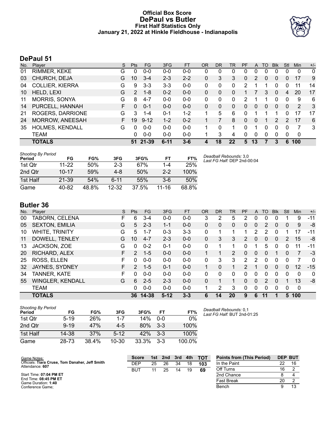# **Official Box Score DePaul vs Butler First Half Statistics Only January 21, 2022 at Hinkle Fieldhouse - Indianapolis**



# **DePaul 51**

| No. | Player                 | S  | <b>Pts</b>     | <b>FG</b> | 3FG      | <b>FT</b> | <b>OR</b> | DR | TR | PF       | A  | TO | <b>Blk</b>    | Stl | <b>Min</b>  | $+/-$       |
|-----|------------------------|----|----------------|-----------|----------|-----------|-----------|----|----|----------|----|----|---------------|-----|-------------|-------------|
| 01  | RIMMER, KEKE           | G  | 0              | $0 - 0$   | $0 - 0$  | $0 - 0$   | 0         | 0  | 0  | 0        | 0  | 0  | 0             | 0   | 0           | $\mathbf 0$ |
| 03  | CHURCH, DEJA           | G  | 10             | $3 - 4$   | $2 - 3$  | $2 - 2$   | 0         | 3  | 3  | $\Omega$ | 2  | 0  | 0             | 0   | 17          | 9           |
| 04  | <b>COLLIER, KIERRA</b> | G  | 9              | $3 - 3$   | $3 - 3$  | $0-0$     | 0         | 0  | 0  | 2        |    |    | 0             | 0   | 11          | 14          |
| 10  | HELD, LEXI             | G  | $\overline{2}$ | $1 - 8$   | $0 - 2$  | $0 - 0$   | 0         | 0  | 0  |          |    | 3  | 0             | 4   | 20          | 17          |
| 11  | <b>MORRIS, SONYA</b>   | G  | 8              | $4 - 7$   | 0-0      | $0 - 0$   | 0         | 0  | 0  | 2        |    |    | 0             | 0   | 9           | 6           |
| 14  | PURCELL, HANNAH        | F. | $\Omega$       | $0 - 1$   | $0 - 0$  | $0 - 0$   | 0         | 0  | 0  | 0        | 0  | 0  | $\Omega$      | 0   | 2           | 3           |
| 21  | ROGERS, DARRIONE       | G  | 3              | $1 - 4$   | $0 - 1$  | $1 - 2$   |           | 5  | 6  | 0        |    |    |               | 0   | 17          | 17          |
| 24  | <b>MORROW, ANEESAH</b> | F. | 19             | $9 - 12$  | $1 - 2$  | $0 - 2$   |           |    | 8  | 0        | 0  |    | $\mathcal{P}$ | 2   | 17          | 6           |
| 35  | <b>HOLMES, KENDALL</b> | G  | 0              | $0 - 0$   | $0 - 0$  | $0 - 0$   |           | 0  | 1  | 0        |    | 0  | <sup>0</sup>  | 0   | 7           | 3           |
|     | <b>TEAM</b>            |    | 0              | $0 - 0$   | $0 - 0$  | $0 - 0$   |           | 3  | 4  | $\Omega$ | 0  | 0  | 0             | 0   | $\mathbf 0$ |             |
|     | <b>TOTALS</b>          |    | 51             | $21 - 39$ | $6 - 11$ | $3 - 6$   | 4         | 18 | 22 | 5        | 13 |    | 3             | 6   | 100         |             |

| <b>Shooting By Period</b><br>Period | FG        | FG%   | 3FG      | 3FG%  | FT      | FT%   | Deadball Rebounds: 3,0<br>Last FG Half: DEP 2nd-00:04 |
|-------------------------------------|-----------|-------|----------|-------|---------|-------|-------------------------------------------------------|
| 1st Qtr                             | $11 - 22$ | 50%   | $2 - 3$  | 67%   | 1-4     | 25%   |                                                       |
| 2nd Otr                             | $10 - 17$ | 59%   | $4 - 8$  | 50%   | $2 - 2$ | 100%  |                                                       |
| 1st Half                            | 21-39     | 54%   | $6 - 11$ | 55%   | $3-6$   | 50%   |                                                       |
| Game                                | 40-82     | 48.8% | 12-32    | 37.5% | 11-16   | 68.8% |                                                       |

# **Butler 36**

| No. | Player                  | S  | <b>Pts</b>    | FG       | 3FG      | <b>FT</b> | <b>OR</b> | DR | TR       | <b>PF</b>     | A        | TO | <b>B</b> lk    | Stl          | Min | $+/-$ |
|-----|-------------------------|----|---------------|----------|----------|-----------|-----------|----|----------|---------------|----------|----|----------------|--------------|-----|-------|
| 00  | TABORN, CELENA          | F  | 6             | 3-4      | $0 - 0$  | $0-0$     | 3         | 2  | 5        | 2             | 0        | 0  | 0              |              | 9   | $-11$ |
| 05  | <b>SEXTON, EMILIA</b>   | G  | 5             | $2 - 3$  | $1 - 1$  | $0 - 0$   | $\Omega$  | 0  | 0        | 0             | 0        | 2  | $\mathbf{0}$   | $\mathbf{0}$ | 9   | -8    |
| 10  | <b>WHITE, TRINITY</b>   | G  | 5.            | $1 - 7$  | $0 - 3$  | $3 - 3$   | 0         |    |          |               | 2        | 2  | $\Omega$       |              | 17  | $-11$ |
| 11  | DOWELL, TENLEY          | G  | 10            | $4 - 7$  | $2 - 3$  | $0 - 0$   | 0         | 3  | 3        | 2             | 0        | 0  | $\overline{0}$ | 2            | 15  | -8    |
| 13  | JACKSON, ZOE            | G  | 0             | $0 - 2$  | $0 - 1$  | $0 - 0$   | 0         |    |          | 0             | 1        | 5  | 0              | 0            | 11  | -11   |
| 20  | RICHARD, ALEX           | F. | $\mathcal{P}$ | $1 - 5$  | $0 - 0$  | $0 - 0$   |           |    | 2        | 0             | 0        | 0  |                | 0            |     | $-3$  |
| 25  | ROSS, ELLEN             | F  | 0             | $0 - 0$  | $0 - 0$  | $0 - 0$   | 0         | 3  | 3        | 2             | 2        | 0  | 0              | 0            |     | 0     |
| 32  | JAYNES, SYDNEY          | F. | $\mathcal{P}$ | $1 - 5$  | $0 - 1$  | $0 - 0$   | 1         | 0  |          | $\mathcal{P}$ | 1        | 0  | $\Omega$       | $\Omega$     | 12  | $-15$ |
| 34  | <b>TANNER, KATE</b>     | F  | 0             | $0 - 0$  | $0 - 0$  | $0 - 0$   | 0         | 0  | $\Omega$ | 0             | 0        | 0  | $\Omega$       | 0            | 0   | 0     |
| 55  | <b>WINGLER, KENDALL</b> | G  | 6             | $2 - 5$  | $2 - 3$  | $0 - 0$   | 0         |    |          | 0             | $\Omega$ | 2  | $\Omega$       |              | 13  | -8    |
|     | <b>TEAM</b>             |    | 0             | $0 - 0$  | $0 - 0$  | $0 - 0$   | 1         | 2  | 3        | 0             | 0        | 0  | $\Omega$       | 0            | 0   |       |
|     | <b>TOTALS</b>           |    |               | 36 14-38 | $5 - 12$ | $3 - 3$   | 6         | 14 | 20       | 9             | 6        | 11 | п              | 5            | 100 |       |

| <b>Shooting By Period</b><br>Period | FG       | FG%   | 3FG     | 3FG%  | FТ    | FT%    |
|-------------------------------------|----------|-------|---------|-------|-------|--------|
| 1st Otr                             | $5 - 19$ | 26%   | $1 - 7$ | 14%   | 0-0   | $0\%$  |
| 2nd Qtr                             | $9 - 19$ | 47%   | $4-5$   | 80%   | $3-3$ | 100%   |
| 1st Half                            | 14-38    | 37%   | $5-12$  | 42%   | $3-3$ | 100%   |
| Game                                | 28-73    | 38.4% | 10-30   | 33.3% | $3-3$ | 100.0% |

*Deadball Rebounds:* 0,1 *Last FG Half:* BUT 2nd-01:25

| Game Notes:                                                        | <b>Score</b> | 1st | 2nd | 3rd | 4th | <b>TOT</b> | <b>Points from (This Period)</b> |    | <b>DEP BUT</b> |
|--------------------------------------------------------------------|--------------|-----|-----|-----|-----|------------|----------------------------------|----|----------------|
| Officials: Tiara Cruse, Tom Danaher, Jeff Smith<br>Attendance: 607 | DEP          | 25  | 26  | 34  | 18  | 103        | In the Paint                     | つつ |                |
|                                                                    | <b>BUT</b>   | 11  | 25  | 14  | 19  | 69         | Off Turns                        | 16 |                |
| Start Time: 07:04 PM ET                                            |              |     |     |     |     |            | 2nd Chance                       |    |                |
| End Time: 08:45 PM ET<br>Game Duration: 1:40                       |              |     |     |     |     |            | Fast Break                       | 20 |                |
| Conference Game:                                                   |              |     |     |     |     |            | Bench                            |    |                |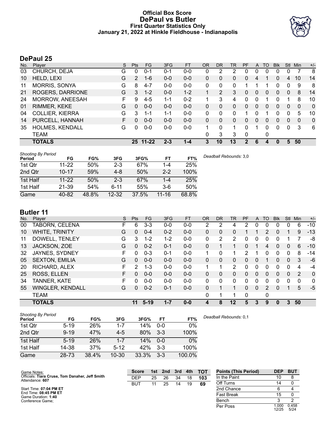# **Official Box Score DePaul vs Butler First Quarter Statistics Only January 21, 2022 at Hinkle Fieldhouse - Indianapolis**



# **DePaul 25**

| No. | Plaver                 | S. | <b>Pts</b> | <b>FG</b> | 3FG     | <b>FT</b> | <b>OR</b> | DR       | TR | <b>PF</b>   | $\mathsf{A}$ | TO | <b>BIK</b> | Stl      | Min      | $+/-$        |
|-----|------------------------|----|------------|-----------|---------|-----------|-----------|----------|----|-------------|--------------|----|------------|----------|----------|--------------|
| 03  | CHURCH, DEJA           | G  | 0          | $0 - 1$   | $0 - 1$ | $0-0$     | $\Omega$  | 2        | 2  | 0           | 0            | 0  | 0          | 0        |          | 8            |
| 10  | HELD, LEXI             | G  | 2          | $1 - 6$   | $0 - 0$ | $0 - 0$   | 0         | 0        | 0  | 0           | 4            |    | 0          | 4        | 10       | 14           |
| 11  | <b>MORRIS, SONYA</b>   | G  | 8          | $4 - 7$   | $0 - 0$ | $0-0$     | 0         | $\Omega$ | 0  |             |              |    | 0          | 0        | 9        | 8            |
| 21  | ROGERS, DARRIONE       | G  | 3          | $1 - 2$   | $0 - 0$ | $1 - 2$   |           | 2        | 3  | 0           | 0            | 0  | 0          | 0        | 8        | 14           |
| 24  | MORROW, ANEESAH        | F  | 9          | $4 - 5$   | 1-1     | $0 - 2$   |           | 3        | 4  | U           | 0            |    | 0          |          | 8        | 10           |
| 01  | RIMMER, KEKE           | G  | 0          | $0 - 0$   | $0 - 0$ | $0 - 0$   | 0         | $\Omega$ | 0  | 0           | 0            | 0  | 0          | 0        | 0        | $\mathbf{0}$ |
| 04  | <b>COLLIER, KIERRA</b> | G  | 3          | 1-1       | 1-1     | $0 - 0$   | 0         | 0        | 0  |             | 0            |    | 0          | 0        | 5        | 10           |
| 14  | PURCELL, HANNAH        | F. | 0          | $0 - 0$   | $0 - 0$ | $0 - 0$   | 0         | $\Omega$ | 0  | 0           | 0            | 0  | 0          | $\Omega$ | $\Omega$ | $\mathbf{0}$ |
| 35  | HOLMES, KENDALL        | G  | 0          | $0 - 0$   | $0-0$   | $0 - 0$   | 1         | 0        | 1  | 0           |              | 0  | 0          | 0        | 3        | 6            |
|     | TEAM                   |    |            |           |         |           | $\Omega$  | 3        | 3  | $\mathbf 0$ |              | 0  |            |          |          |              |
|     | <b>TOTALS</b>          |    |            | 25 11-22  | $2 - 3$ | $1 - 4$   | 3         | 10       | 13 | 2           | 6            | 4  | 0          | 5        | 50       |              |

| <b>Shooting By Period</b><br>Period | FG        | FG%   | 3FG       | 3FG%  | FT        | FT%   | Deadball Rebounds: 3,0 |
|-------------------------------------|-----------|-------|-----------|-------|-----------|-------|------------------------|
| 1st Qtr                             | $11 - 22$ | 50%   | $2 - 3$   | 67%   | $1 - 4$   | 25%   |                        |
| 2nd Qtr                             | $10 - 17$ | 59%   | $4-8$     | 50%   | $2 - 2$   | 100%  |                        |
| 1st Half                            | $11 - 22$ | 50%   | $2 - 3$   | 67%   | $1 - 4$   | 25%   |                        |
| 1st Half                            | 21-39     | 54%   | $6 - 11$  | 55%   | $3-6$     | 50%   |                        |
| Game                                | 40-82     | 48.8% | $12 - 32$ | 37.5% | $11 - 16$ | 68.8% |                        |

# **Butler 11**

| No. | Plaver                  | S | <b>Pts</b> | FG      | 3FG     | <b>FT</b> | 0R           | DR | TR             | <b>PF</b> | A            | TO       | <b>B</b> lk | Stl          | Min | $+/-$          |
|-----|-------------------------|---|------------|---------|---------|-----------|--------------|----|----------------|-----------|--------------|----------|-------------|--------------|-----|----------------|
| 00  | TABORN, CELENA          | F | 6          | $3 - 3$ | $0 - 0$ | $0-0$     | 2            | 2  | 4              | 2         | 0            | 0        | 0           | 0            | 6   | $-10$          |
| 10  | <b>WHITE, TRINITY</b>   | G | $\Omega$   | $0 - 4$ | $0 - 2$ | $0 - 0$   | $\mathbf{0}$ | 0  | 0              |           |              | 2        | $\Omega$    |              | 9   | $-13$          |
| 11  | DOWELL, TENLEY          | G | 3          | $1 - 2$ | $1 - 2$ | $0-0$     | 0            | 2  | $\overline{2}$ | 0         | 0            | 0        | 0           |              |     | -8             |
| 13  | JACKSON, ZOE            | G | 0          | $0 - 2$ | $0 - 1$ | $0 - 0$   | $\Omega$     |    | 1              | 0         |              | 4        | 0           | $\mathbf{0}$ | 6   | $-10$          |
| 32  | JAYNES, SYDNEY          | F | 0          | $0 - 3$ | $0 - 1$ | $0 - 0$   | 1            | 0  | 1              | 2         |              | 0        | 0           | 0            | 8   | $-14$          |
| 05  | <b>SEXTON, EMILIA</b>   | G | $\Omega$   | $0 - 0$ | $0 - 0$ | $0-0$     | $\mathbf{0}$ | 0  | $\mathbf{0}$   | 0         | $\mathbf{0}$ |          | $\Omega$    | $\Omega$     | 3   | -6             |
| 20  | RICHARD, ALEX           | F | 2          | $1 - 3$ | $0 - 0$ | $0-0$     | 1            |    | $\overline{2}$ | 0         | 0            | $\Omega$ | 0           | 0            | 4   | -4             |
| 25  | ROSS, ELLEN             | F | 0          | $0 - 0$ | $0 - 0$ | $0 - 0$   | $\Omega$     | 0  | $\Omega$       | 0         | $\Omega$     | $\Omega$ | $\Omega$    | $\Omega$     | 2   | $\overline{0}$ |
| 34  | <b>TANNER, KATE</b>     | F | 0          | $0 - 0$ | $0 - 0$ | $0 - 0$   | 0            | 0  | 0              | 0         | 0            | 0        | 0           | $\Omega$     | 0   | $\mathbf{0}$   |
| 55  | <b>WINGLER, KENDALL</b> | G | 0          | $0 - 2$ | $0 - 1$ | $0-0$     | 0            |    | 1              | 0         | $\Omega$     | 2        | $\Omega$    |              | 5   | $-5$           |
|     | <b>TEAM</b>             |   |            |         |         |           | 0            |    |                | 0         |              | 0        |             |              |     |                |
|     | <b>TOTALS</b>           |   | 11         | $5-19$  | $1 - 7$ | $0 - 0$   | 4            | 8  | 12             | 5         | 3            | 9        | 0           | 3            | 50  |                |

| <b>Shooting By Period</b><br>Period | FG       | FG%   | 3FG       | 3FG%  | FT      | FT%    | Deadball Rebounds: 0,1 |
|-------------------------------------|----------|-------|-----------|-------|---------|--------|------------------------|
| 1st Qtr                             | $5 - 19$ | 26%   | $1 - 7$   | 14%   | $0 - 0$ | 0%     |                        |
| 2nd Qtr                             | $9 - 19$ | 47%   | $4-5$     | 80%   | $3-3$   | 100%   |                        |
| 1st Half                            | $5 - 19$ | 26%   | $1 - 7$   | 14%   | $0 - 0$ | 0%     |                        |
| 1st Half                            | 14-38    | 37%   | $5 - 12$  | 42%   | $3-3$   | 100%   |                        |
| Game                                | 28-73    | 38.4% | $10 - 30$ | 33.3% | $3 - 3$ | 100.0% |                        |

| Game Notes:                                                        | <b>Score</b> | 1st | 2nd | 3rd | 4th | <b>TOT</b> | <b>Points (This Period)</b> | <b>DEP</b>     | <b>BUT</b>    |
|--------------------------------------------------------------------|--------------|-----|-----|-----|-----|------------|-----------------------------|----------------|---------------|
| Officials: Tiara Cruse, Tom Danaher, Jeff Smith<br>Attendance: 607 | DEP          | 25  | 26  | 34  | 18  | 103        | In the Paint                | 10             |               |
|                                                                    | BUT          | 11  | 25  | 14  | 19  | 69         | Off Turns                   |                |               |
| Start Time: 07:04 PM ET                                            |              |     |     |     |     |            | 2nd Chance                  |                |               |
| End Time: 08:45 PM ET<br>Game Duration: 1:40                       |              |     |     |     |     |            | <b>Fast Break</b>           | 15             |               |
| Conference Game;                                                   |              |     |     |     |     |            | Bench                       |                |               |
|                                                                    |              |     |     |     |     |            | Per Poss                    | 1.00C<br>12/25 | 0.458<br>5/24 |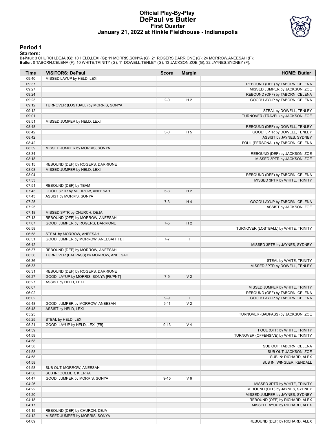### **Official Play-By-Play DePaul vs Butler First Quarter January 21, 2022 at Hinkle Fieldhouse - Indianapolis**



#### **Period 1**

<mark>Starters :</mark><br>DePaul: 3 CHURCH,DEJA (G); 10 HELD,LEXI (G); 11 MORRIS,SONYA (G); 21 ROGERS,DARRIONE (G); 24 MORROW,ANEESAH (F);<br>Butler: 0 TABORN,CELENA (F); 10 WHITE,TRINITY (G); 11 DOWELL,TENLEY (G); 13 JACKSON,ZOE (G); 32

| Time           | <b>VISITORS: DePaul</b>                                          | <b>Score</b> | <b>Margin</b>  | <b>HOME: Butler</b>                    |
|----------------|------------------------------------------------------------------|--------------|----------------|----------------------------------------|
| 09:40          | MISSED LAYUP by HELD, LEXI                                       |              |                |                                        |
| 09:37          |                                                                  |              |                | REBOUND (DEF) by TABORN, CELENA        |
| 09:27          |                                                                  |              |                | MISSED JUMPER by JACKSON, ZOE          |
| 09:24          |                                                                  |              |                | REBOUND (OFF) by TABORN, CELENA        |
| 09:23          |                                                                  | $2 - 0$      | H <sub>2</sub> | GOOD! LAYUP by TABORN, CELENA          |
| 09:12          | TURNOVER (LOSTBALL) by MORRIS, SONYA                             |              |                |                                        |
| 09:12          |                                                                  |              |                | STEAL by DOWELL, TENLEY                |
| 09:01          |                                                                  |              |                | TURNOVER (TRAVEL) by JACKSON, ZOE      |
| 08:51          | MISSED JUMPER by HELD, LEXI                                      |              |                |                                        |
| 08:48          |                                                                  |              |                | REBOUND (DEF) by DOWELL, TENLEY        |
| 08:42          |                                                                  | $5-0$        | H <sub>5</sub> | GOOD! 3PTR by DOWELL, TENLEY           |
| 08:42          |                                                                  |              |                | ASSIST by JAYNES, SYDNEY               |
| 08:42          |                                                                  |              |                | FOUL (PERSONAL) by TABORN, CELENA      |
| 08:39          | MISSED JUMPER by MORRIS, SONYA                                   |              |                |                                        |
| 08:34          |                                                                  |              |                | REBOUND (DEF) by JACKSON, ZOE          |
| 08:18          |                                                                  |              |                | MISSED 3PTR by JACKSON, ZOE            |
| 08:15<br>08:08 | REBOUND (DEF) by ROGERS, DARRIONE<br>MISSED JUMPER by HELD, LEXI |              |                |                                        |
| 08:04          |                                                                  |              |                | REBOUND (DEF) by TABORN, CELENA        |
| 07:53          |                                                                  |              |                | MISSED 3PTR by WHITE, TRINITY          |
| 07:51          | REBOUND (DEF) by TEAM                                            |              |                |                                        |
| 07:43          | GOOD! 3PTR by MORROW, ANEESAH                                    | $5-3$        | H <sub>2</sub> |                                        |
| 07:43          | ASSIST by MORRIS, SONYA                                          |              |                |                                        |
| 07:25          |                                                                  | $7 - 3$      | H4             | GOOD! LAYUP by TABORN, CELENA          |
| 07:25          |                                                                  |              |                | ASSIST by JACKSON, ZOE                 |
| 07:18          | MISSED 3PTR by CHURCH, DEJA                                      |              |                |                                        |
| 07:13          | REBOUND (OFF) by MORROW, ANEESAH                                 |              |                |                                        |
| 07:07          | GOOD! JUMPER by ROGERS, DARRIONE                                 | $7-5$        | H <sub>2</sub> |                                        |
| 06:58          |                                                                  |              |                | TURNOVER (LOSTBALL) by WHITE, TRINITY  |
| 06:58          | STEAL by MORROW, ANEESAH                                         |              |                |                                        |
| 06:51          | GOOD! JUMPER by MORROW, ANEESAH [FB]                             | $7 - 7$      | Т              |                                        |
| 06:42          |                                                                  |              |                | MISSED 3PTR by JAYNES, SYDNEY          |
| 06:37          | REBOUND (DEF) by MORROW, ANEESAH                                 |              |                |                                        |
| 06:36          | TURNOVER (BADPASS) by MORROW, ANEESAH                            |              |                |                                        |
| 06:36          |                                                                  |              |                | STEAL by WHITE, TRINITY                |
| 06:33          |                                                                  |              |                | MISSED 3PTR by DOWELL, TENLEY          |
| 06:31          | REBOUND (DEF) by ROGERS, DARRIONE                                |              |                |                                        |
| 06:27          | GOOD! LAYUP by MORRIS, SONYA [FB/PNT]                            | $7-9$        | V <sub>2</sub> |                                        |
| 06:27          | ASSIST by HELD, LEXI                                             |              |                |                                        |
| 06:07          |                                                                  |              |                | MISSED JUMPER by WHITE, TRINITY        |
| 06:02          |                                                                  |              |                | REBOUND (OFF) by TABORN, CELENA        |
| 06:02          |                                                                  | $9-9$        | $\top$         | GOOD! LAYUP by TABORN, CELENA          |
| 05:48          | GOOD! JUMPER by MORROW, ANEESAH                                  | $9 - 11$     | V <sub>2</sub> |                                        |
| 05:48          | ASSIST by HELD, LEXI                                             |              |                |                                        |
| 05:25          |                                                                  |              |                | TURNOVER (BADPASS) by JACKSON, ZOE     |
| 05:25          | STEAL by HELD, LEXI                                              |              |                |                                        |
| 05:21          | GOOD! LAYUP by HELD, LEXI [FB]                                   | $9 - 13$     | V <sub>4</sub> |                                        |
| 04:59          |                                                                  |              |                | FOUL (OFF) by WHITE, TRINITY           |
| 04:59          |                                                                  |              |                | TURNOVER (OFFENSIVE) by WHITE, TRINITY |
| 04:58          |                                                                  |              |                |                                        |
| 04:58          |                                                                  |              |                | SUB OUT: TABORN, CELENA                |
| 04:58          |                                                                  |              |                | SUB OUT: JACKSON, ZOE                  |
| 04:58          |                                                                  |              |                | SUB IN: RICHARD, ALEX                  |
| 04:58          |                                                                  |              |                | SUB IN: WINGLER, KENDALL               |
| 04:58<br>04:58 | SUB OUT: MORROW, ANEESAH                                         |              |                |                                        |
| 04:47          | SUB IN: COLLIER, KIERRA<br>GOOD! JUMPER by MORRIS, SONYA         | $9 - 15$     | $V_6$          |                                        |
| 04:26          |                                                                  |              |                | MISSED 3PTR by WHITE, TRINITY          |
| 04:22          |                                                                  |              |                | REBOUND (OFF) by JAYNES, SYDNEY        |
| 04:20          |                                                                  |              |                | MISSED JUMPER by JAYNES, SYDNEY        |
| 04:18          |                                                                  |              |                | REBOUND (OFF) by RICHARD, ALEX         |
| 04:17          |                                                                  |              |                | MISSED LAYUP by RICHARD, ALEX          |
| 04:15          | REBOUND (DEF) by CHURCH, DEJA                                    |              |                |                                        |
| 04:12          | MISSED JUMPER by MORRIS, SONYA                                   |              |                |                                        |
| 04:09          |                                                                  |              |                | REBOUND (DEF) by RICHARD, ALEX         |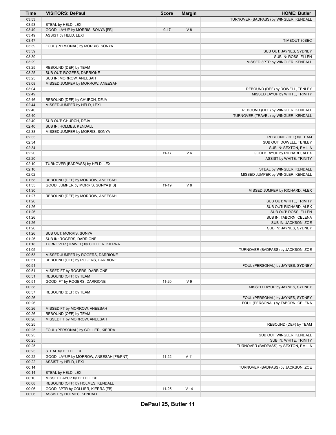| Time           | <b>VISITORS: DePaul</b>                 | <b>Score</b> | <b>Margin</b>   | <b>HOME: Butler</b>                                                    |
|----------------|-----------------------------------------|--------------|-----------------|------------------------------------------------------------------------|
| 03:53          |                                         |              |                 | TURNOVER (BADPASS) by WINGLER, KENDALL                                 |
| 03:53          | STEAL by HELD, LEXI                     |              |                 |                                                                        |
| 03:49          | GOOD! LAYUP by MORRIS, SONYA [FB]       | $9 - 17$     | V8              |                                                                        |
| 03:49          | ASSIST by HELD, LEXI                    |              |                 |                                                                        |
| 03:47          |                                         |              |                 | TIMEOUT 30SEC                                                          |
| 03:39          | FOUL (PERSONAL) by MORRIS, SONYA        |              |                 |                                                                        |
| 03:39          |                                         |              |                 | SUB OUT: JAYNES, SYDNEY                                                |
| 03:39          |                                         |              |                 | SUB IN: ROSS, ELLEN                                                    |
| 03:29          |                                         |              |                 | MISSED 3PTR by WINGLER, KENDALL                                        |
| 03:25          | REBOUND (DEF) by TEAM                   |              |                 |                                                                        |
| 03:25          | SUB OUT: ROGERS, DARRIONE               |              |                 |                                                                        |
| 03:25          | SUB IN: MORROW, ANEESAH                 |              |                 |                                                                        |
| 03:08          | MISSED JUMPER by MORROW, ANEESAH        |              |                 |                                                                        |
| 03:04<br>02:49 |                                         |              |                 | REBOUND (DEF) by DOWELL, TENLEY                                        |
| 02:46          | REBOUND (DEF) by CHURCH, DEJA           |              |                 | MISSED LAYUP by WHITE, TRINITY                                         |
| 02:44          | MISSED JUMPER by HELD, LEXI             |              |                 |                                                                        |
| 02:40          |                                         |              |                 | REBOUND (DEF) by WINGLER, KENDALL                                      |
| 02:40          |                                         |              |                 | TURNOVER (TRAVEL) by WINGLER, KENDALL                                  |
| 02:40          | SUB OUT: CHURCH, DEJA                   |              |                 |                                                                        |
| 02:40          | SUB IN: HOLMES, KENDALL                 |              |                 |                                                                        |
| 02:38          | MISSED JUMPER by MORRIS, SONYA          |              |                 |                                                                        |
| 02:35          |                                         |              |                 | REBOUND (DEF) by TEAM                                                  |
| 02:34          |                                         |              |                 | SUB OUT: DOWELL, TENLEY                                                |
| 02:34          |                                         |              |                 | SUB IN: SEXTON, EMILIA                                                 |
| 02:20          |                                         | $11 - 17$    | $V_6$           | GOOD! LAYUP by RICHARD, ALEX                                           |
| 02:20          |                                         |              |                 | ASSIST by WHITE, TRINITY                                               |
| 02:10          | TURNOVER (BADPASS) by HELD, LEXI        |              |                 |                                                                        |
| 02:10          |                                         |              |                 | STEAL by WINGLER, KENDALL                                              |
| 02:02          |                                         |              |                 | MISSED JUMPER by WINGLER, KENDALL                                      |
| 01:58          | REBOUND (DEF) by MORROW, ANEESAH        |              |                 |                                                                        |
| 01:55          | GOOD! JUMPER by MORRIS, SONYA [FB]      | $11 - 19$    | V8              |                                                                        |
| 01:30          |                                         |              |                 | MISSED JUMPER by RICHARD, ALEX                                         |
| 01:27<br>01:26 | REBOUND (DEF) by MORROW, ANEESAH        |              |                 | SUB OUT: WHITE, TRINITY                                                |
| 01:26          |                                         |              |                 | SUB OUT: RICHARD, ALEX                                                 |
| 01:26          |                                         |              |                 | SUB OUT: ROSS, ELLEN                                                   |
| 01:26          |                                         |              |                 | SUB IN: TABORN, CELENA                                                 |
| 01:26          |                                         |              |                 | SUB IN: JACKSON, ZOE                                                   |
| 01:26          |                                         |              |                 | SUB IN: JAYNES, SYDNEY                                                 |
| 01:26          | SUB OUT: MORRIS, SONYA                  |              |                 |                                                                        |
| 01:26          | SUB IN: ROGERS, DARRIONE                |              |                 |                                                                        |
| 01:18          | TURNOVER (TRAVEL) by COLLIER, KIERRA    |              |                 |                                                                        |
| 01:05          |                                         |              |                 | TURNOVER (BADPASS) by JACKSON, ZOE                                     |
| 00:53          | MISSED JUMPER by ROGERS, DARRIONE       |              |                 |                                                                        |
| 00:51          | REBOUND (OFF) by ROGERS, DARRIONE       |              |                 |                                                                        |
| 00:51          |                                         |              |                 | FOUL (PERSONAL) by JAYNES, SYDNEY                                      |
| 00:51          | MISSED FT by ROGERS, DARRIONE           |              |                 |                                                                        |
| 00:51          | REBOUND (OFF) by TEAM                   |              |                 |                                                                        |
| 00:51          | GOOD! FT by ROGERS, DARRIONE            | 11-20        | V <sub>9</sub>  |                                                                        |
| 00:38          |                                         |              |                 | MISSED LAYUP by JAYNES, SYDNEY                                         |
| 00:37          | REBOUND (DEF) by TEAM                   |              |                 |                                                                        |
| 00:26<br>00:26 |                                         |              |                 | FOUL (PERSONAL) by JAYNES, SYDNEY<br>FOUL (PERSONAL) by TABORN, CELENA |
| 00:26          | MISSED FT by MORROW, ANEESAH            |              |                 |                                                                        |
| 00:26          | REBOUND (OFF) by TEAM                   |              |                 |                                                                        |
| 00:26          | MISSED FT by MORROW, ANEESAH            |              |                 |                                                                        |
| 00:25          |                                         |              |                 | REBOUND (DEF) by TEAM                                                  |
| 00:25          | FOUL (PERSONAL) by COLLIER, KIERRA      |              |                 |                                                                        |
| 00:25          |                                         |              |                 | SUB OUT: WINGLER, KENDALL                                              |
| 00:25          |                                         |              |                 | SUB IN: WHITE, TRINITY                                                 |
| 00:25          |                                         |              |                 | TURNOVER (BADPASS) by SEXTON, EMILIA                                   |
| 00:25          | STEAL by HELD, LEXI                     |              |                 |                                                                        |
| 00:22          | GOOD! LAYUP by MORROW, ANEESAH [FB/PNT] | $11 - 22$    | V <sub>11</sub> |                                                                        |
| 00:22          | ASSIST by HELD, LEXI                    |              |                 |                                                                        |
| 00:14          |                                         |              |                 | TURNOVER (BADPASS) by JACKSON, ZOE                                     |
| 00:14          | STEAL by HELD, LEXI                     |              |                 |                                                                        |
| 00:10          | MISSED LAYUP by HELD, LEXI              |              |                 |                                                                        |
| 00:08          | REBOUND (OFF) by HOLMES, KENDALL        |              |                 |                                                                        |
| 00:06          | GOOD! 3PTR by COLLIER, KIERRA [FB]      | $11 - 25$    | V <sub>14</sub> |                                                                        |
| 00:06          | ASSIST by HOLMES, KENDALL               |              |                 |                                                                        |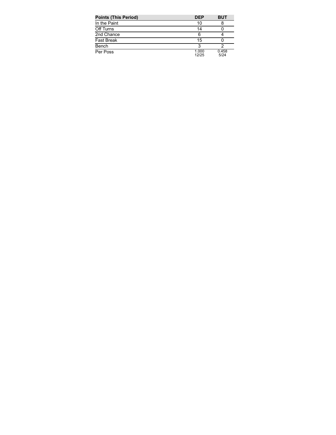| <b>Points (This Period)</b> | <b>DEP</b>     | <b>BUT</b>    |
|-----------------------------|----------------|---------------|
| In the Paint                | 10             |               |
| Off Turns                   | 14             |               |
| 2nd Chance                  | 6              |               |
| <b>Fast Break</b>           | 15             |               |
| Bench                       | 3              |               |
| Per Poss                    | 1.000<br>12/25 | 0.458<br>5/24 |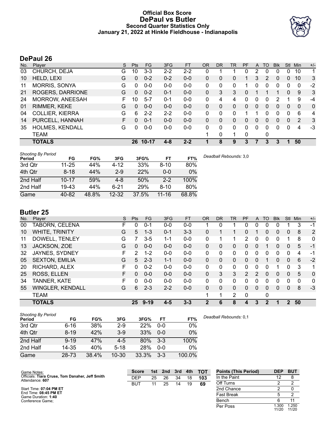# **Official Box Score DePaul vs Butler Second Quarter Statistics Only January 21, 2022 at Hinkle Fieldhouse - Indianapolis**



# **DePaul 26**

| No. | Plaver                 | S. | <b>Pts</b> | FG        | 3FG     | <b>FT</b> | <b>OR</b> | DR           | TR | <b>PF</b> | $\mathsf{A}$ | TO | <b>B</b> lk | Stl      | Min | $+/-$        |
|-----|------------------------|----|------------|-----------|---------|-----------|-----------|--------------|----|-----------|--------------|----|-------------|----------|-----|--------------|
| 03  | CHURCH, DEJA           | G  | 10         | $3 - 3$   | $2 - 2$ | $2 - 2$   | 0         |              |    | 0         | 2            | 0  | 0           | 0        | 10  | 1            |
| 10  | HELD, LEXI             | G  | 0          | $0 - 2$   | $0 - 2$ | $0 - 0$   | 0         | 0            | 0  | 1         | 3            | 2  | 0           | 0        | 10  | 3            |
| 11  | <b>MORRIS, SONYA</b>   | G  | 0          | $0 - 0$   | $0-0$   | $0-0$     | 0         | 0            | 0  |           | 0            | 0  | 0           | 0        | 0   | $-2$         |
| 21  | ROGERS, DARRIONE       | G  | 0          | $0 - 2$   | $0 - 1$ | $0 - 0$   | 0         | 3            | 3  | 0         |              |    |             | 0        | 9   | 3            |
| 24  | MORROW, ANEESAH        | F  | 10         | $5 - 7$   | $0 - 1$ | $0 - 0$   | 0         | 4            | 4  | 0         | 0            |    | 2           |          | 9   | -4           |
| 01  | RIMMER, KEKE           | G  | 0          | $0 - 0$   | $0 - 0$ | $0 - 0$   | 0         | $\mathbf{0}$ | 0  | 0         | $\mathbf{0}$ | 0  | 0           | 0        | 0   | $\mathbf{0}$ |
| 04  | <b>COLLIER, KIERRA</b> | G  | 6          | $2 - 2$   | $2 - 2$ | $0 - 0$   | 0         | 0            | 0  |           |              | 0  | 0           | 0        | 6   | 4            |
| 14  | PURCELL, HANNAH        | F  | 0          | $0 - 1$   | $0 - 0$ | $0 - 0$   | 0         | $\Omega$     | 0  | 0         | $\Omega$     | 0  | 0           | 0        | 2   | 3            |
| 35  | <b>HOLMES, KENDALL</b> | G  | 0          | $0 - 0$   | $0 - 0$ | $0 - 0$   | 0         | $\Omega$     | 0  | 0         | 0            | 0  | 0           | $\Omega$ | 4   | -3           |
|     | TEAM                   |    |            |           |         |           |           | $\mathbf{0}$ | 1  | 0         |              | 0  |             |          |     |              |
|     | <b>TOTALS</b>          |    | 26         | $10 - 17$ | $4 - 8$ | $2 - 2$   |           | 8            | 9  | 3         |              | 3  | 3           |          | 50  |              |

| <b>Shooting By Period</b><br>Period | FG        | FG%   | 3FG       | 3FG%  | FT        | FT%   | Deadball Rebounds: 3,0 |
|-------------------------------------|-----------|-------|-----------|-------|-----------|-------|------------------------|
| 3rd Qtr                             | $11 - 25$ | 44%   | $4 - 12$  | 33%   | $8 - 10$  | 80%   |                        |
| 4th Qtr                             | $8 - 18$  | 44%   | $2-9$     | 22%   | $0 - 0$   | $0\%$ |                        |
| 2nd Half                            | $10 - 17$ | 59%   | $4 - 8$   | 50%   | $2 - 2$   | 100%  |                        |
| 2nd Half                            | 19-43     | 44%   | $6 - 21$  | 29%   | $8 - 10$  | 80%   |                        |
| Game                                | 40-82     | 48.8% | $12 - 32$ | 37.5% | $11 - 16$ | 68.8% |                        |

# **Butler 25**

| No. | Plaver                  | S  | <b>Pts</b> | <b>FG</b> | 3FG     | <b>FT</b> | <b>OR</b>    | DR | TR             | PF | A             | TO           | <b>B</b> lk | Stl      | Min | $+/-$        |
|-----|-------------------------|----|------------|-----------|---------|-----------|--------------|----|----------------|----|---------------|--------------|-------------|----------|-----|--------------|
| 00  | TABORN, CELENA          | F  | 0          | $0 - 1$   | $0 - 0$ | $0 - 0$   |              | 0  |                | 0  | 0             | 0            | 0           |          | 3   | $-1$         |
| 10  | <b>WHITE, TRINITY</b>   | G  | 5          | $1 - 3$   | $0 - 1$ | $3 - 3$   | 0            |    |                | 0  |               | $\Omega$     | 0           | $\Omega$ | 8   | 2            |
| 11  | DOWELL, TENLEY          | G  |            | $3-5$     | $1 - 1$ | $0-0$     | 0            |    | 1              | 2  | 0             | 0            | 0           |          | 8   | $\mathbf{0}$ |
| 13  | JACKSON, ZOE            | G  | 0          | $0 - 0$   | $0 - 0$ | $0-0$     | $\mathbf{0}$ | 0  | 0              | 0  | 0             |              | 0           | 0        | 5   | $-1$         |
| 32  | JAYNES, SYDNEY          | F  | 2          | $1 - 2$   | $0 - 0$ | $0-0$     | 0            | 0  | 0              | 0  | 0             |              | 0           | 0        | 4   | -1           |
| 05  | <b>SEXTON, EMILIA</b>   | G  | 5          | $2 - 3$   | $1 - 1$ | $0-0$     | $\mathbf{0}$ | 0  | 0              | 0  | 0             |              | 0           | $\Omega$ | 6   | $-2$         |
| 20  | RICHARD, ALEX           | F  | 0          | $0 - 2$   | $0 - 0$ | $0-0$     | 0            | 0  | 0              | 0  | 0             | 0            | 1           | 0        | 3   | 1            |
| 25  | ROSS, ELLEN             | F. | 0          | $0 - 0$   | $0 - 0$ | $0 - 0$   | $\mathbf{0}$ | 3  | 3              | 2  | $\mathcal{P}$ | $\Omega$     | $\Omega$    | $\Omega$ | 5   | $\mathbf{0}$ |
| 34  | <b>TANNER, KATE</b>     | F  | 0          | $0 - 0$   | $0 - 0$ | $0 - 0$   | 0            | 0  | 0              | 0  | 0             | 0            | 0           | $\Omega$ | 0   | $\mathbf{0}$ |
| 55  | <b>WINGLER, KENDALL</b> | G  | 6          | $2 - 3$   | $2 - 2$ | $0 - 0$   | $\mathbf{0}$ | 0  | 0              | 0  | $\mathbf{0}$  | $\Omega$     | 0           | 0        | 8   | $-3$         |
|     | <b>TEAM</b>             |    |            |           |         |           |              | 1  | $\overline{2}$ | 0  |               | 0            |             |          |     |              |
|     | <b>TOTALS</b>           |    | 25         | $9 - 19$  | 4-5     | $3 - 3$   | 2            | 6  | 8              |    | 3             | $\mathbf{z}$ | 1           | 2        | 50  |              |

BUT 11 25 14 19 **69**

| <b>Shooting By Period</b><br>Period | FG       | FG%   | 3FG       | 3FG%  | FT      | FT%    | Deadball Rebounds: 0,1 |
|-------------------------------------|----------|-------|-----------|-------|---------|--------|------------------------|
| 3rd Qtr                             | $6 - 16$ | 38%   | $2-9$     | 22%   | $0 - 0$ | 0%     |                        |
| 4th Qtr                             | $8 - 19$ | 42%   | $3-9$     | 33%   | $0 - 0$ | 0%     |                        |
| 2nd Half                            | $9 - 19$ | 47%   | $4-5$     | 80%   | $3 - 3$ | 100%   |                        |
| 2nd Half                            | 14-35    | 40%   | $5 - 18$  | 28%   | $0 - 0$ | 0%     |                        |
| Game                                | 28-73    | 38.4% | $10 - 30$ | 33.3% | $3 - 3$ | 100.0% |                        |

**Score 1st 2nd 3rd 4th TOT** DEP 25 26 34 18 **103 Points (This Period) DEP BUT** In the Paint Off Turns 2 2 2nd Chance 2 0 Fast Break 5 2 Bench 6 11 Per Poss 1.300<br>11/20 1.250 11/20

Start Time: **07:04 PM ET** End Time: **08:45 PM ET** Game Duration: **1:40**

Game Notes: Officials: **Tiara Cruse, Tom Danaher, Jeff Smith** Attendance: **607**

Conference Game;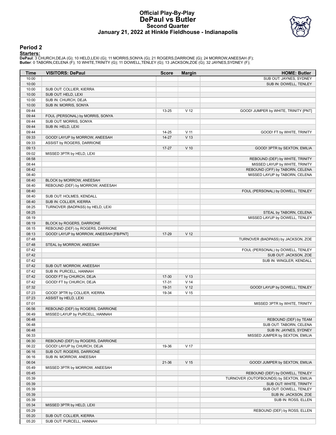## **Official Play-By-Play DePaul vs Butler Second Quarter January 21, 2022 at Hinkle Fieldhouse - Indianapolis**



# **Period 2**

<mark>Starters :</mark><br>DePaul: 3 CHURCH,DEJA (G); 10 HELD,LEXI (G); 11 MORRIS,SONYA (G); 21 ROGERS,DARRIONE (G); 24 MORROW,ANEESAH (F);<br>Butler: 0 TABORN,CELENA (F); 10 WHITE,TRINITY (G); 11 DOWELL,TENLEY (G); 13 JACKSON,ZOE (G); 32

| Time           | <b>VISITORS: DePaul</b>                             | <b>Score</b>   | <b>Margin</b>   | <b>HOME: Butler</b>                      |
|----------------|-----------------------------------------------------|----------------|-----------------|------------------------------------------|
| 10:00          |                                                     |                |                 | SUB OUT: JAYNES, SYDNEY                  |
| 10:00          |                                                     |                |                 | SUB IN: DOWELL, TENLEY                   |
| 10:00          | SUB OUT: COLLIER, KIERRA                            |                |                 |                                          |
| 10:00          | SUB OUT: HELD, LEXI                                 |                |                 |                                          |
| 10:00          | SUB IN: CHURCH, DEJA                                |                |                 |                                          |
| 10:00          | SUB IN: MORRIS, SONYA                               |                |                 |                                          |
| 09:44          |                                                     | 13-25          | V <sub>12</sub> | GOOD! JUMPER by WHITE, TRINITY [PNT]     |
| 09:44          | FOUL (PERSONAL) by MORRIS, SONYA                    |                |                 |                                          |
| 09:44          | SUB OUT: MORRIS, SONYA                              |                |                 |                                          |
| 09:44          | SUB IN: HELD, LEXI                                  |                |                 |                                          |
| 09:44          |                                                     | 14-25          | V <sub>11</sub> | GOOD! FT by WHITE, TRINITY               |
| 09:33          | GOOD! LAYUP by MORROW, ANEESAH                      | $14 - 27$      | V <sub>13</sub> |                                          |
| 09:33          | ASSIST by ROGERS, DARRIONE                          |                |                 |                                          |
| 09:13          |                                                     | $17 - 27$      | $V$ 10          | GOOD! 3PTR by SEXTON, EMILIA             |
| 09:02          | MISSED 3PTR by HELD, LEXI                           |                |                 |                                          |
| 08:58          |                                                     |                |                 | REBOUND (DEF) by WHITE, TRINITY          |
| 08:44          |                                                     |                |                 | MISSED LAYUP by WHITE, TRINITY           |
| 08:42          |                                                     |                |                 | REBOUND (OFF) by TABORN, CELENA          |
| 08:40          |                                                     |                |                 | MISSED LAYUP by TABORN, CELENA           |
| 08:40          | BLOCK by MORROW, ANEESAH                            |                |                 |                                          |
| 08:40          | REBOUND (DEF) by MORROW, ANEESAH                    |                |                 |                                          |
| 08:40          |                                                     |                |                 | FOUL (PERSONAL) by DOWELL, TENLEY        |
| 08:40          | SUB OUT: HOLMES, KENDALL                            |                |                 |                                          |
| 08:40          | SUB IN: COLLIER, KIERRA                             |                |                 |                                          |
| 08:25          | TURNOVER (BADPASS) by HELD, LEXI                    |                |                 |                                          |
| 08:25          |                                                     |                |                 | STEAL by TABORN, CELENA                  |
| 08:19          |                                                     |                |                 | MISSED LAYUP by DOWELL, TENLEY           |
| 08:19          | BLOCK by ROGERS, DARRIONE                           |                |                 |                                          |
| 08:15          | REBOUND (DEF) by ROGERS, DARRIONE                   |                |                 |                                          |
| 08:13          | GOOD! LAYUP by MORROW, ANEESAH [FB/PNT]             | 17-29          | V <sub>12</sub> |                                          |
| 07:48          |                                                     |                |                 | TURNOVER (BADPASS) by JACKSON, ZOE       |
| 07:48          | STEAL by MORROW, ANEESAH                            |                |                 |                                          |
| 07:42          |                                                     |                |                 | FOUL (PERSONAL) by DOWELL, TENLEY        |
| 07:42          |                                                     |                |                 | SUB OUT: JACKSON, ZOE                    |
| 07:42          |                                                     |                |                 | SUB IN: WINGLER, KENDALL                 |
| 07:42<br>07:42 | SUB OUT: MORROW, ANEESAH                            |                |                 |                                          |
| 07:42          | SUB IN: PURCELL, HANNAH<br>GOOD! FT by CHURCH, DEJA |                | V <sub>13</sub> |                                          |
| 07:42          | GOOD! FT by CHURCH, DEJA                            | 17-30<br>17-31 | V <sub>14</sub> |                                          |
| 07:32          |                                                     | 19-31          | V <sub>12</sub> | GOOD! LAYUP by DOWELL, TENLEY            |
| 07:23          | GOOD! 3PTR by COLLIER, KIERRA                       | 19-34          | V <sub>15</sub> |                                          |
| 07:23          | ASSIST by HELD, LEXI                                |                |                 |                                          |
| 07:01          |                                                     |                |                 | MISSED 3PTR by WHITE, TRINITY            |
| 06:56          | REBOUND (DEF) by ROGERS, DARRIONE                   |                |                 |                                          |
| 06:49          | MISSED LAYUP by PURCELL, HANNAH                     |                |                 |                                          |
| 06:48          |                                                     |                |                 | REBOUND (DEF) by TEAM                    |
| 06:48          |                                                     |                |                 | SUB OUT: TABORN, CELENA                  |
| 06:48          |                                                     |                |                 | SUB IN: JAYNES, SYDNEY                   |
| 06:33          |                                                     |                |                 | MISSED JUMPER by SEXTON, EMILIA          |
| 06:30          | REBOUND (DEF) by ROGERS, DARRIONE                   |                |                 |                                          |
| 06:22          | GOOD! LAYUP by CHURCH, DEJA                         | 19-36          | V 17            |                                          |
| 06:16          | SUB OUT: ROGERS, DARRIONE                           |                |                 |                                          |
| 06:16          | SUB IN: MORROW, ANEESAH                             |                |                 |                                          |
| 06:04          |                                                     | 21-36          | V <sub>15</sub> | GOOD! JUMPER by SEXTON, EMILIA           |
| 05:49          | MISSED 3PTR by MORROW, ANEESAH                      |                |                 |                                          |
| 05:45          |                                                     |                |                 | REBOUND (DEF) by DOWELL, TENLEY          |
| 05:39          |                                                     |                |                 | TURNOVER (OUTOFBOUNDS) by SEXTON, EMILIA |
| 05:39          |                                                     |                |                 | SUB OUT: WHITE, TRINITY                  |
| 05:39          |                                                     |                |                 | SUB OUT: DOWELL, TENLEY                  |
| 05:39          |                                                     |                |                 | SUB IN: JACKSON, ZOE                     |
| 05:39          |                                                     |                |                 | SUB IN: ROSS, ELLEN                      |
| 05:34          | MISSED 3PTR by HELD, LEXI                           |                |                 |                                          |
| 05:29          |                                                     |                |                 | REBOUND (DEF) by ROSS, ELLEN             |
| 05:20          | SUB OUT: COLLIER, KIERRA                            |                |                 |                                          |
| 05:20          | SUB OUT: PURCELL, HANNAH                            |                |                 |                                          |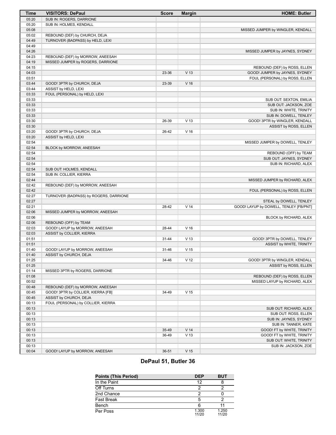| <b>Time</b>    | <b>VISITORS: DePaul</b>                | <b>Score</b> | <b>Margin</b>   | <b>HOME: Butler</b>                                            |
|----------------|----------------------------------------|--------------|-----------------|----------------------------------------------------------------|
| 05:20          | SUB IN: ROGERS, DARRIONE               |              |                 |                                                                |
| 05:20          | SUB IN: HOLMES, KENDALL                |              |                 |                                                                |
| 05:08          |                                        |              |                 | MISSED JUMPER by WINGLER, KENDALL                              |
| 05:02          | REBOUND (DEF) by CHURCH, DEJA          |              |                 |                                                                |
| 04:49          | TURNOVER (BADPASS) by HELD, LEXI       |              |                 |                                                                |
| 04:49          |                                        |              |                 |                                                                |
| 04:26          |                                        |              |                 | MISSED JUMPER by JAYNES, SYDNEY                                |
| 04:23          | REBOUND (DEF) by MORROW, ANEESAH       |              |                 |                                                                |
| 04:19          | MISSED JUMPER by ROGERS, DARRIONE      |              |                 |                                                                |
| 04:15          |                                        |              | V <sub>13</sub> | REBOUND (DEF) by ROSS, ELLEN<br>GOOD! JUMPER by JAYNES, SYDNEY |
| 04:03<br>03:51 |                                        | 23-36        |                 |                                                                |
| 03:44          | GOOD! 3PTR by CHURCH, DEJA             | 23-39        | V <sub>16</sub> | FOUL (PERSONAL) by ROSS, ELLEN                                 |
| 03:44          | ASSIST by HELD, LEXI                   |              |                 |                                                                |
| 03:33          | FOUL (PERSONAL) by HELD, LEXI          |              |                 |                                                                |
| 03:33          |                                        |              |                 | SUB OUT: SEXTON, EMILIA                                        |
| 03:33          |                                        |              |                 | SUB OUT: JACKSON, ZOE                                          |
| 03:33          |                                        |              |                 | SUB IN: WHITE, TRINITY                                         |
| 03:33          |                                        |              |                 | SUB IN: DOWELL, TENLEY                                         |
| 03:30          |                                        | 26-39        | V <sub>13</sub> | GOOD! 3PTR by WINGLER, KENDALL                                 |
| 03:30          |                                        |              |                 | ASSIST by ROSS, ELLEN                                          |
| 03:20          | GOOD! 3PTR by CHURCH, DEJA             | 26-42        | V <sub>16</sub> |                                                                |
| 03:20          | ASSIST by HELD, LEXI                   |              |                 |                                                                |
| 02:54          |                                        |              |                 | MISSED JUMPER by DOWELL, TENLEY                                |
| 02:54          | BLOCK by MORROW, ANEESAH               |              |                 |                                                                |
| 02:54          |                                        |              |                 | REBOUND (OFF) by TEAM                                          |
| 02:54          |                                        |              |                 | SUB OUT: JAYNES, SYDNEY                                        |
| 02:54          |                                        |              |                 | SUB IN: RICHARD, ALEX                                          |
| 02:54          | SUB OUT: HOLMES, KENDALL               |              |                 |                                                                |
| 02:54<br>02:44 | SUB IN: COLLIER, KIERRA                |              |                 |                                                                |
| 02:42          | REBOUND (DEF) by MORROW, ANEESAH       |              |                 | MISSED JUMPER by RICHARD, ALEX                                 |
| 02:42          |                                        |              |                 | FOUL (PERSONAL) by ROSS, ELLEN                                 |
| 02:27          | TURNOVER (BADPASS) by ROGERS, DARRIONE |              |                 |                                                                |
| 02:27          |                                        |              |                 | STEAL by DOWELL, TENLEY                                        |
| 02:21          |                                        | 28-42        | V <sub>14</sub> | GOOD! LAYUP by DOWELL, TENLEY [FB/PNT]                         |
| 02:06          | MISSED JUMPER by MORROW, ANEESAH       |              |                 |                                                                |
| 02:06          |                                        |              |                 | BLOCK by RICHARD, ALEX                                         |
| 02:06          | REBOUND (OFF) by TEAM                  |              |                 |                                                                |
| 02:03          | GOOD! LAYUP by MORROW, ANEESAH         | 28-44        | V <sub>16</sub> |                                                                |
| 02:03          | ASSIST by COLLIER, KIERRA              |              |                 |                                                                |
| 01:51          |                                        | $31 - 44$    | V <sub>13</sub> | GOOD! 3PTR by DOWELL, TENLEY                                   |
| 01:51          |                                        |              |                 | ASSIST by WHITE, TRINITY                                       |
| 01:40          | GOOD! LAYUP by MORROW, ANEESAH         | 31-46        | V <sub>15</sub> |                                                                |
| 01:40          | ASSIST by CHURCH, DEJA                 |              |                 |                                                                |
| 01:25          |                                        | 34-46        | V <sub>12</sub> | GOOD! 3PTR by WINGLER, KENDALL                                 |
| 01:25<br>01:14 | MISSED 3PTR by ROGERS, DARRIONE        |              |                 | ASSIST by ROSS, ELLEN                                          |
| 01:08          |                                        |              |                 | REBOUND (DEF) by ROSS, ELLEN                                   |
| 00:52          |                                        |              |                 | MISSED LAYUP by RICHARD, ALEX                                  |
| 00:48          | REBOUND (DEF) by MORROW, ANEESAH       |              |                 |                                                                |
| 00:45          | GOOD! 3PTR by COLLIER, KIERRA [FB]     | 34-49        | V <sub>15</sub> |                                                                |
| 00:45          | ASSIST by CHURCH, DEJA                 |              |                 |                                                                |
| 00:13          | FOUL (PERSONAL) by COLLIER, KIERRA     |              |                 |                                                                |
| 00:13          |                                        |              |                 | SUB OUT: RICHARD, ALEX                                         |
| 00:13          |                                        |              |                 | SUB OUT: ROSS, ELLEN                                           |
| 00:13          |                                        |              |                 | SUB IN: JAYNES, SYDNEY                                         |
| 00:13          |                                        |              |                 | SUB IN: TANNER, KATE                                           |
| 00:13          |                                        | 35-49        | V <sub>14</sub> | GOOD! FT by WHITE, TRINITY                                     |
| 00:13          |                                        | 36-49        | V <sub>13</sub> | GOOD! FT by WHITE, TRINITY                                     |
| 00:13          |                                        |              |                 | SUB OUT: WHITE, TRINITY                                        |
| 00:13          |                                        |              |                 | SUB IN: JACKSON, ZOE                                           |
| 00:04          | GOOD! LAYUP by MORROW, ANEESAH         | $36 - 51$    | V <sub>15</sub> |                                                                |

# **DePaul 51, Butler 36**

| <b>Points (This Period)</b> | <b>DEP</b>     | <b>BUT</b>     |
|-----------------------------|----------------|----------------|
| In the Paint                | 12             |                |
| Off Turns                   |                |                |
| 2nd Chance                  |                |                |
| <b>Fast Break</b>           |                |                |
| Bench                       |                |                |
| Per Poss                    | 1.300<br>11/20 | 1.250<br>11/20 |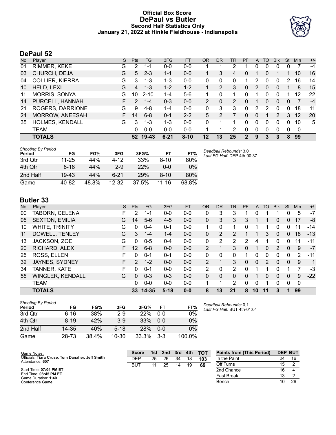# **Official Box Score DePaul vs Butler Second Half Statistics Only January 21, 2022 at Hinkle Fieldhouse - Indianapolis**



# **DePaul 52**

| No. | Plaver                 | S  | <b>Pts</b> | FG        | 3FG      | <b>FT</b> | <b>OR</b> | DR | <b>TR</b> | <b>PF</b> | A        | TO | <b>Blk</b> | Stl      | Min | $+/-$ |
|-----|------------------------|----|------------|-----------|----------|-----------|-----------|----|-----------|-----------|----------|----|------------|----------|-----|-------|
| 01  | RIMMER, KEKE           | G  | 2          | 1-1       | $0 - 0$  | $0 - 0$   |           |    | 2         |           | 0        | 0  | 0          | 0        |     | $-4$  |
| 03  | CHURCH, DEJA           | G  | 5          | $2 - 3$   | $1 - 1$  | $0 - 0$   |           | 3  | 4         | 0         |          |    |            |          | 10  | 16    |
| 04  | <b>COLLIER, KIERRA</b> | G  | 3          | $1 - 3$   | $1 - 3$  | $0-0$     | 0         | 0  | 0         |           |          | 0  | O          |          | 16  | 14    |
| 10  | HELD, LEXI             | G  | 4          | $1 - 3$   | $1 - 2$  | $1 - 2$   |           |    | 3         | 0         | 2        | 0  | 0          |          | 8   | 15    |
| 11  | <b>MORRIS, SONYA</b>   | G  | 10         | $2 - 10$  | $1 - 4$  | $5-6$     |           | 0  |           | ŋ         |          | 0  | 0          |          | 12  | 22    |
| 14  | PURCELL, HANNAH        | F. | 2          | $1 - 4$   | $0 - 3$  | $0 - 0$   | 2         | 0  | 2         | 0         |          | 0  | 0          | $\Omega$ |     | $-4$  |
| 21  | ROGERS, DARRIONE       | G  | 9          | $4 - 8$   | $1 - 4$  | $0 - 0$   | $\Omega$  | 3  | 3         | 0         | 2        | 2  | 0          | 0        | 18  | 11    |
| 24  | <b>MORROW, ANEESAH</b> | F. | 14         | $6 - 8$   | $0 - 1$  | $2 - 2$   | 5         | 2  |           | 0         | $\Omega$ |    | 2          | 3        | 12  | 20    |
| 35  | <b>HOLMES, KENDALL</b> | G  | 3          | $1 - 3$   | $1 - 3$  | $0 - 0$   | $\Omega$  |    |           | 0         | $\Omega$ | 0  | 0          | 0        | 10  | 5     |
|     | TEAM                   |    | 0          | $0 - 0$   | $0 - 0$  | $0 - 0$   |           | 1  | 2         | 0         | $\Omega$ | 0  | 0          | 0        | 0   |       |
|     | <b>TOTALS</b>          |    | 52         | $19 - 43$ | $6 - 21$ | $8 - 10$  | 12        | 13 | 25        |           | 9        | З  | 3          | 8        | 99  |       |

| <b>Shooting By Period</b><br>Period | FG        | FG%   | 3FG       | 3FG%  | FT        | FT%   | Deadball Rebounds: 3,0<br>Last FG Half: DEP 4th-00:37 |
|-------------------------------------|-----------|-------|-----------|-------|-----------|-------|-------------------------------------------------------|
| 3rd Qtr                             | $11 - 25$ | 44%   | 4-12      | 33%   | $8 - 10$  | 80%   |                                                       |
| 4th Qtr                             | $8 - 18$  | 44%   | $2-9$     | 22%   | 0-0       | $0\%$ |                                                       |
| 2nd Half                            | $19 - 43$ | 44%   | $6 - 21$  | 29%   | $8 - 10$  | 80%   |                                                       |
| Game                                | 40-82     | 48.8% | $12 - 32$ | 37.5% | $11 - 16$ | 68.8% |                                                       |

# **Butler 33**

| No. | Plaver                  | S. | <b>Pts</b>    | <b>FG</b> | 3FG      | <b>FT</b> | <b>OR</b>    | <b>DR</b> | <b>TR</b> | PF           | A        | TO            | <b>Blk</b> | <b>Stl</b>   | <b>Min</b>  | $+/-$ |
|-----|-------------------------|----|---------------|-----------|----------|-----------|--------------|-----------|-----------|--------------|----------|---------------|------------|--------------|-------------|-------|
| 00  | TABORN, CELENA          | F  | 2             | 1-1       | $0 - 0$  | $0 - 0$   | 0            | 3         | 3         |              |          |               |            |              | 5           | $-7$  |
| 05  | <b>SEXTON, EMILIA</b>   | G  | 14            | $5-6$     | $4 - 5$  | $0 - 0$   | $\mathbf{0}$ | 3         | 3         | 3            |          |               | 0          | 0            | 17          | -8    |
| 10  | <b>WHITE, TRINITY</b>   | G  | 0             | $0 - 4$   | $0 - 1$  | $0 - 0$   | 1.           | 0         | 1         | 0            |          |               | 0          | 0            | 11          | -14   |
| 11  | DOWELL, TENLEY          | G  | 3             | $1 - 4$   | $1 - 4$  | $0 - 0$   | 0            | 2         | 2         |              |          | 3             | 0          | $\mathbf{0}$ | 18          | $-13$ |
| 13  | JACKSON, ZOE            | G  | 0             | $0 - 5$   | $0 - 4$  | $0 - 0$   | 0            | 2         | 2         | 2            | 4        |               | 0          | 0            | 11          | -11   |
| 20  | RICHARD, ALEX           | F. | 12            | $6 - 8$   | $0 - 0$  | $0 - 0$   | 2            |           | 3         | $\Omega$     |          | 0             | 2          | $\Omega$     | 9           | $-7$  |
| 25  | ROSS, ELLEN             | F  | 0             | $0 - 1$   | $0 - 1$  | $0 - 0$   | $\Omega$     | $\Omega$  | 0         | 1            | 0        | 0             | 0          | $\Omega$     | 2           | $-11$ |
| 32  | JAYNES, SYDNEY          | F. | $\mathcal{P}$ | $1 - 2$   | $0 - 0$  | $0 - 0$   | 2            |           | 3         | $\Omega$     | $\Omega$ | $\mathcal{P}$ | 0          | $\Omega$     | 9           | 1     |
| 34  | TANNER, KATE            | F  | 0             | $0 - 1$   | $0 - 0$  | $0 - 0$   | 2            | 0         | 2         | <sup>0</sup> |          |               | 0          |              | 7           | -3    |
| 55  | <b>WINGLER, KENDALL</b> | G  | 0             | $0 - 3$   | $0 - 3$  | $0 - 0$   | $\Omega$     | $\Omega$  | 0         | 0            |          | 0             | 0          | $\Omega$     | 9           | $-22$ |
|     | <b>TEAM</b>             |    | 0             | $0 - 0$   | $0 - 0$  | $0 - 0$   | 1            |           | 2         | 0            | 0        |               | 0          | 0            | $\mathbf 0$ |       |
|     | <b>TOTALS</b>           |    | 33            | 14-35     | $5 - 18$ | $0 - 0$   | 8            | 13        | 21        | 8            | 10       | 11            | 3          |              | 99          |       |

| Shooting By Period<br>Period | FG       | FG%   | 3FG       | 3FG%       | FТ      | FT%    | De<br>La |
|------------------------------|----------|-------|-----------|------------|---------|--------|----------|
| 3rd Qtr                      | $6 - 16$ | 38%   | $2-9$     | 22%        | $0 - 0$ | 0%     |          |
| 4th Qtr                      | $8 - 19$ | 42%   | $3-9$     | 33%        | $0 - 0$ | 0%     |          |
| 2nd Half                     | 14-35    | 40%   | $5 - 18$  | <b>28%</b> | $0 - 0$ | 0%     |          |
| Game                         | 28-73    | 38.4% | $10 - 30$ | 33.3%      | $3-3$   | 100.0% |          |

*Deadball Rebounds:* 0,1 *Last FG Half:* BUT 4th-01:04

| Game Notes:                                                        | <b>Score</b> | 1st | 2 <sub>nd</sub> | 3rd | 4th | <b>TOT</b> | <b>Points from (This Period)</b> |    | <b>DEP BUT</b> |
|--------------------------------------------------------------------|--------------|-----|-----------------|-----|-----|------------|----------------------------------|----|----------------|
| Officials: Tiara Cruse, Tom Danaher, Jeff Smith<br>Attendance: 607 | DEP          | 25  | 26              | 34  | 18  | 103        | In the Paint                     | 24 | 16             |
|                                                                    | BUT          | 11  | 25              | 14  | 19  | 69         | Off Turns                        | 15 |                |
| Start Time: 07:04 PM ET                                            |              |     |                 |     |     |            | 2nd Chance                       | 16 |                |
| End Time: 08:45 PM ET<br>Game Duration: 1:40                       |              |     |                 |     |     |            | <b>Fast Break</b>                |    |                |
| Conference Game:                                                   |              |     |                 |     |     |            | Bench                            | 10 | 26             |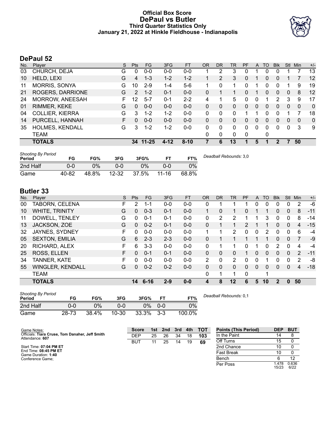# **Official Box Score DePaul vs Butler Third Quarter Statistics Only January 21, 2022 at Hinkle Fieldhouse - Indianapolis**



# **DePaul 52**

| No. | Plaver                 | S  | <b>Pts</b>      | FG        | 3FG      | <b>FT</b> | <b>OR</b> | <b>DR</b>     | TR | PF          | $\mathsf{A}$ | TO       | <b>Blk</b> | Stl      | Min      | $+/-$        |
|-----|------------------------|----|-----------------|-----------|----------|-----------|-----------|---------------|----|-------------|--------------|----------|------------|----------|----------|--------------|
| 03  | CHURCH, DEJA           | G  | 0               | $0 - 0$   | $0 - 0$  | $0-0$     |           | 2             | 3  | 0           |              | 0        | 0          |          |          | 13           |
| 10  | HELD, LEXI             | G  | $\overline{4}$  | $1 - 3$   | $1 - 2$  | $1 - 2$   |           | $\mathcal{P}$ | 3  | 0           |              | 0        | 0          |          |          | 12           |
| 11  | <b>MORRIS, SONYA</b>   | G  | 10 <sup>°</sup> | $2 - 9$   | $1 - 4$  | $5-6$     | 1         | 0             | 1  | 0           | 1            | $\Omega$ | 0          |          | 9        | 19           |
| 21  | ROGERS, DARRIONE       | G  | 2               | $1 - 2$   | $0 - 1$  | $0 - 0$   | 0         |               |    | 0           |              | 0        | $\Omega$   | 0        | 8        | 12           |
| 24  | MORROW, ANEESAH        | F  | 12              | $5 - 7$   | $0 - 1$  | $2 - 2$   | 4         |               | 5  | U           | 0            |          | 2          | 3        | 9        | 17           |
| 01  | RIMMER, KEKE           | G  | 0               | $0 - 0$   | $0 - 0$  | $0 - 0$   | 0         | $\mathbf{0}$  | 0  | 0           | $\Omega$     | 0        | 0          | 0        | 0        | $\mathbf{0}$ |
| 04  | <b>COLLIER, KIERRA</b> | G  | 3               | $1 - 2$   | $1 - 2$  | $0 - 0$   | 0         | 0             | 0  |             |              | 0        | 0          |          |          | 18           |
| 14  | PURCELL, HANNAH        | F. | 0               | $0 - 0$   | $0 - 0$  | $0 - 0$   | 0         | $\Omega$      | 0  | 0           | $\Omega$     | 0        | 0          | $\Omega$ | $\Omega$ | $\mathbf{0}$ |
| 35  | HOLMES, KENDALL        | G  | 3               | $1 - 2$   | $1 - 2$  | $0 - 0$   | 0         | $\Omega$      | 0  | 0           | 0            | 0        | 0          | $\Omega$ | 3        | 9            |
|     | <b>TEAM</b>            |    |                 |           |          |           | 0         | 0             | 0  | $\mathbf 0$ |              | 0        |            |          |          |              |
|     | <b>TOTALS</b>          |    | 34 <sup>°</sup> | $11 - 25$ | $4 - 12$ | $8 - 10$  |           | 6             | 13 |             | 5            |          | 2          |          | 50       |              |

| <b>Shooting By Period</b><br>Period | FG    | FG%   | 3FG       | 3FG%  |           | FT%   | Deadball Rebounds: 3,0 |
|-------------------------------------|-------|-------|-----------|-------|-----------|-------|------------------------|
| 2nd Half                            | 0-0   | $0\%$ | 0-0       | $0\%$ | ი-ი       | 0%    |                        |
| Game                                | 40-82 | 48.8% | $12 - 32$ | 37.5% | $11 - 16$ | 68.8% |                        |

# **Butler 33**

| No. | Player                  | S | <b>Pts</b>   | <b>FG</b> | 3FG     | <b>FT</b> | <b>OR</b> | <b>DR</b>    | TR                           | PF       | A            | TO | <b>BIK</b>     | <b>Stl</b>   | Min            | $+/-$ |
|-----|-------------------------|---|--------------|-----------|---------|-----------|-----------|--------------|------------------------------|----------|--------------|----|----------------|--------------|----------------|-------|
| 00  | TABORN, CELENA          | F | 2            | $1 - 1$   | $0 - 0$ | $0 - 0$   | 0         |              |                              |          | 0            | 0  | 0              | 0            | 2              | -6    |
| 10  | <b>WHITE, TRINITY</b>   | G | $\mathbf{0}$ | $0 - 3$   | $0 - 1$ | $0 - 0$   | 1         | $\Omega$     | 1                            | 0        |              | 1  | 0              | $\mathbf{0}$ | 8              | $-11$ |
| 11  | DOWELL, TENLEY          | G | 0            | $0 - 1$   | $0 - 1$ | $0-0$     | 0         | 2            | 2                            |          |              | 3  | 0              | 0            | 8              | -14   |
| 13  | JACKSON, ZOE            | G | $\mathbf{0}$ | $0 - 2$   | $0 - 1$ | $0 - 0$   | 0         |              | $\mathbf{1}$                 | 2        |              |    | 0              | $\mathbf{0}$ | 4              | $-15$ |
| 32  | JAYNES, SYDNEY          | F | 0            | $0 - 0$   | $0 - 0$ | $0-0$     |           |              | 2                            | 0        | 0            | 2  | 0              | 0            | 6              | $-4$  |
| 05  | <b>SEXTON, EMILIA</b>   | G | 6            | $2 - 3$   | $2 - 3$ | $0 - 0$   | 0         |              |                              |          |              | 1  | 0              | $\mathbf{0}$ | $\overline{7}$ | -9    |
| 20  | RICHARD, ALEX           | F | 6            | $3 - 3$   | $0 - 0$ | $0 - 0$   | 0         | 1            | 1                            | 0        |              | 0  | $\overline{2}$ | $\Omega$     | 4              | $-4$  |
| 25  | ROSS, ELLEN             | F | $\Omega$     | $0 - 1$   | $0 - 1$ | $0 - 0$   | 0         | $\mathbf{0}$ | 0                            |          | $\mathbf{0}$ | 0  | 0              | $\mathbf{0}$ | 2              | $-11$ |
| 34  | TANNER, KATE            | F | 0            | $0 - 0$   | $0 - 0$ | $0 - 0$   | 2         | $\mathbf{0}$ | 2                            | 0        | $\Omega$     |    | 0              | 0            | 2              | -8    |
| 55  | <b>WINGLER, KENDALL</b> | G | $\Omega$     | $0 - 2$   | $0 - 2$ | $0 - 0$   | 0         | $\mathbf{0}$ | 0                            | $\Omega$ | $\Omega$     | 0  | 0              | $\mathbf{0}$ | 4              | $-18$ |
|     | TEAM                    |   |              |           |         |           | 0         | 1            | 1                            | 0        |              |    |                |              |                |       |
|     | <b>TOTALS</b>           |   | 14           | $6 - 16$  | $2 - 9$ | $0 - 0$   | 4         | 8            | 12                           | 6        | 5            | 10 | $\mathbf{2}$   | $\bf{0}$     | 50             |       |
|     | Shooting By Period      |   |              |           |         |           |           |              | <b>B. H. H. B.L.</b> J. B.A. |          |              |    |                |              |                |       |

| Period   | FG    | FG%   | 3FG   | 3FG%         | FТ        | FT%    | Deadb |
|----------|-------|-------|-------|--------------|-----------|--------|-------|
| 2nd Half | ი-ი   | በ%    | 0-0   |              | $0\%$ 0-0 | 0%     |       |
| Game     | 28-73 | 38.4% | 10-30 | $33.3\%$ 3-3 |           | 100.0% |       |

*Deadball Rebounds:* 0,1

| Game Notes:                                                        | <b>Score</b> | 1st. | 2nd | 3rd | 4th | <b>TOT</b> | <b>Points (This Period)</b> | <b>DEP</b>    | <b>BUT</b>    |
|--------------------------------------------------------------------|--------------|------|-----|-----|-----|------------|-----------------------------|---------------|---------------|
| Officials: Tiara Cruse, Tom Danaher, Jeff Smith<br>Attendance: 607 | DEP          | 25   | 26  | 34  | 18  | 103        | In the Paint                |               |               |
|                                                                    | BUT          |      | 25  | 14  | 19  | 69         | Off Turns                   | 15            |               |
| Start Time: 07:04 PM ET                                            |              |      |     |     |     |            | 2nd Chance                  | 10            |               |
| End Time: 08:45 PM ET<br>Game Duration: 1:40                       |              |      |     |     |     |            | <b>Fast Break</b>           |               |               |
| Conference Game:                                                   |              |      |     |     |     |            | Bench                       |               |               |
|                                                                    |              |      |     |     |     |            | Per Poss                    | .478<br>15/23 | 0.636<br>6/22 |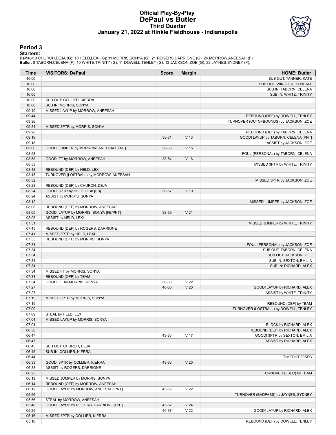### **Official Play-By-Play DePaul vs Butler Third Quarter January 21, 2022 at Hinkle Fieldhouse - Indianapolis**



### **Period 3**

<mark>Starters :</mark><br>DePaul: 3 CHURCH,DEJA (G); 10 HELD,LEXI (G); 11 MORRIS,SONYA (G); 21 ROGERS,DARRIONE (G); 24 MORROW,ANEESAH (F);<br>Butler: 0 TABORN,CELENA (F); 10 WHITE,TRINITY (G); 11 DOWELL,TENLEY (G); 13 JACKSON,ZOE (G); 32

| Time  | <b>VISITORS: DePaul</b>                | <b>Score</b> | <b>Margin</b>   | <b>HOME: Butler</b>                    |
|-------|----------------------------------------|--------------|-----------------|----------------------------------------|
| 10:00 |                                        |              |                 | SUB OUT: TANNER, KATE                  |
| 10:00 |                                        |              |                 | SUB OUT: WINGLER, KENDALL              |
| 10:00 |                                        |              |                 | SUB IN: TABORN, CELENA                 |
| 10:00 |                                        |              |                 | SUB IN: WHITE, TRINITY                 |
| 10:00 | SUB OUT: COLLIER, KIERRA               |              |                 |                                        |
| 10:00 | SUB IN: MORRIS, SONYA                  |              |                 |                                        |
| 09:49 | MISSED LAYUP by MORROW, ANEESAH        |              |                 |                                        |
| 09:44 |                                        |              |                 |                                        |
| 09:36 |                                        |              |                 | REBOUND (DEF) by DOWELL, TENLEY        |
|       |                                        |              |                 | TURNOVER (OUTOFBOUNDS) by JACKSON, ZOE |
| 09:31 | MISSED 3PTR by MORRIS, SONYA           |              |                 |                                        |
| 09:28 |                                        |              |                 | REBOUND (DEF) by TABORN, CELENA        |
| 09:18 |                                        | 38-51        | V <sub>13</sub> | GOOD! LAYUP by TABORN, CELENA [PNT]    |
| 09:18 |                                        |              |                 | ASSIST by JACKSON, ZOE                 |
| 09:00 | GOOD! JUMPER by MORROW, ANEESAH [PNT]  | 38-53        | V <sub>15</sub> |                                        |
| 08:58 |                                        |              |                 | FOUL (PERSONAL) by TABORN, CELENA      |
| 08:58 | GOOD! FT by MORROW, ANEESAH            | 38-54        | V <sub>16</sub> |                                        |
| 08:53 |                                        |              |                 | MISSED 3PTR by WHITE, TRINITY          |
| 08:48 | REBOUND (DEF) by HELD, LEXI            |              |                 |                                        |
| 08:45 | TURNOVER (LOSTBALL) by MORROW, ANEESAH |              |                 |                                        |
| 08:32 |                                        |              |                 | MISSED 3PTR by JACKSON, ZOE            |
| 08:28 | REBOUND (DEF) by CHURCH, DEJA          |              |                 |                                        |
| 08:24 | GOOD! 3PTR by HELD, LEXI [FB]          | 38-57        | $V$ 19          |                                        |
| 08:24 | ASSIST by MORRIS, SONYA                |              |                 |                                        |
| 08:12 |                                        |              |                 | MISSED JUMPER by JACKSON, ZOE          |
| 08:08 | REBOUND (DEF) by MORROW, ANEESAH       |              |                 |                                        |
| 08:05 | GOOD! LAYUP by MORRIS, SONYA [FB/PNT]  | 38-59        | V <sub>21</sub> |                                        |
| 08:05 | ASSIST by HELD, LEXI                   |              |                 |                                        |
| 07:51 |                                        |              |                 | MISSED JUMPER by WHITE, TRINITY        |
| 07:45 | REBOUND (DEF) by ROGERS, DARRIONE      |              |                 |                                        |
| 07:41 | MISSED 3PTR by HELD, LEXI              |              |                 |                                        |
| 07:35 | REBOUND (OFF) by MORRIS, SONYA         |              |                 |                                        |
| 07:34 |                                        |              |                 | FOUL (PERSONAL) by JACKSON, ZOE        |
| 07:34 |                                        |              |                 | SUB OUT: TABORN, CELENA                |
| 07:34 |                                        |              |                 | SUB OUT: JACKSON, ZOE                  |
| 07:34 |                                        |              |                 | SUB IN: SEXTON, EMILIA                 |
| 07:34 |                                        |              |                 | SUB IN: RICHARD, ALEX                  |
| 07:34 | MISSED FT by MORRIS, SONYA             |              |                 |                                        |
| 07:34 | REBOUND (OFF) by TEAM                  |              |                 |                                        |
| 07:34 | GOOD! FT by MORRIS, SONYA              | 38-60        | V <sub>22</sub> |                                        |
| 07:27 |                                        | 40-60        | V <sub>20</sub> | GOOD! LAYUP by RICHARD, ALEX           |
| 07:27 |                                        |              |                 | ASSIST by WHITE, TRINITY               |
| 07:19 |                                        |              |                 |                                        |
| 07:15 | MISSED 3PTR by MORRIS, SONYA           |              |                 |                                        |
|       |                                        |              |                 | REBOUND (DEF) by TEAM                  |
| 07:09 |                                        |              |                 | TURNOVER (LOSTBALL) by DOWELL, TENLEY  |
| 07:09 | STEAL by HELD, LEXI                    |              |                 |                                        |
| 07:04 | MISSED LAYUP by MORRIS, SONYA          |              |                 |                                        |
| 07:04 |                                        |              |                 | BLOCK by RICHARD, ALEX                 |
| 06:56 |                                        |              |                 | REBOUND (DEF) by RICHARD, ALEX         |
| 06:47 |                                        | 43-60        | V <sub>17</sub> | GOOD! 3PTR by SEXTON, EMILIA           |
| 06:47 |                                        |              |                 | ASSIST by RICHARD, ALEX                |
| 06:45 | SUB OUT: CHURCH, DEJA                  |              |                 |                                        |
| 06:45 | SUB IN: COLLIER, KIERRA                |              |                 |                                        |
| 06:44 |                                        |              |                 | TIMEOUT 30SEC                          |
| 06:33 | GOOD! 3PTR by COLLIER, KIERRA          | 43-63        | V <sub>20</sub> |                                        |
| 06:33 | ASSIST by ROGERS, DARRIONE             |              |                 |                                        |
| 06:23 |                                        |              |                 | TURNOVER (5SEC) by TEAM                |
| 06:19 | MISSED JUMPER by MORRIS, SONYA         |              |                 |                                        |
| 06:14 | REBOUND (OFF) by MORROW, ANEESAH       |              |                 |                                        |
| 06:12 | GOOD! LAYUP by MORROW, ANEESAH [PNT]   | 43-65        | V <sub>22</sub> |                                        |
| 05:56 |                                        |              |                 | TURNOVER (BADPASS) by JAYNES, SYDNEY   |
| 05:56 | STEAL by MORROW, ANEESAH               |              |                 |                                        |
| 05:48 | GOOD! LAYUP by ROGERS, DARRIONE [PNT]  | 43-67        | V <sub>24</sub> |                                        |
| 05:29 |                                        | 45-67        | V <sub>22</sub> | GOOD! LAYUP by RICHARD, ALEX           |
| 05:16 | MISSED 3PTR by COLLIER, KIERRA         |              |                 |                                        |
| 05:10 |                                        |              |                 | REBOUND (DEF) by DOWELL, TENLEY        |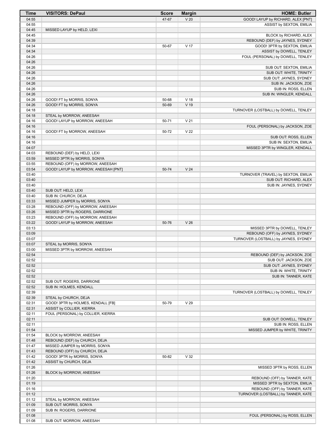| Time           | <b>VISITORS: DePaul</b>                                   | <b>Score</b> | <b>Margin</b>   | <b>HOME: Butler</b>                                             |
|----------------|-----------------------------------------------------------|--------------|-----------------|-----------------------------------------------------------------|
| 04:55          |                                                           | 47-67        | V <sub>20</sub> | GOOD! LAYUP by RICHARD, ALEX [PNT]                              |
| 04:55          |                                                           |              |                 | ASSIST by SEXTON, EMILIA                                        |
| 04:45          | MISSED LAYUP by HELD, LEXI                                |              |                 |                                                                 |
| 04:45          |                                                           |              |                 | BLOCK by RICHARD, ALEX                                          |
| 04:39<br>04:34 |                                                           | 50-67        | V <sub>17</sub> | REBOUND (DEF) by JAYNES, SYDNEY<br>GOOD! 3PTR by SEXTON, EMILIA |
| 04:34          |                                                           |              |                 | ASSIST by DOWELL, TENLEY                                        |
| 04:26          |                                                           |              |                 | FOUL (PERSONAL) by DOWELL, TENLEY                               |
| 04:26          |                                                           |              |                 |                                                                 |
| 04:26          |                                                           |              |                 | SUB OUT: SEXTON, EMILIA                                         |
| 04:26          |                                                           |              |                 | SUB OUT: WHITE, TRINITY                                         |
| 04:26          |                                                           |              |                 | SUB OUT: JAYNES, SYDNEY                                         |
| 04:26          |                                                           |              |                 | SUB IN: JACKSON, ZOE                                            |
| 04:26<br>04:26 |                                                           |              |                 | SUB IN: ROSS, ELLEN                                             |
| 04:26          | GOOD! FT by MORRIS, SONYA                                 | 50-68        | V <sub>18</sub> | SUB IN: WINGLER, KENDALL                                        |
| 04:26          | GOOD! FT by MORRIS, SONYA                                 | 50-69        | $V$ 19          |                                                                 |
| 04:18          |                                                           |              |                 | TURNOVER (LOSTBALL) by DOWELL, TENLEY                           |
| 04:18          | STEAL by MORROW, ANEESAH                                  |              |                 |                                                                 |
| 04:16          | GOOD! LAYUP by MORROW, ANEESAH                            | 50-71        | V <sub>21</sub> |                                                                 |
| 04:16          |                                                           |              |                 | FOUL (PERSONAL) by JACKSON, ZOE                                 |
| 04:16          | GOOD! FT by MORROW, ANEESAH                               | 50-72        | V <sub>22</sub> |                                                                 |
| 04:16          |                                                           |              |                 | SUB OUT: ROSS, ELLEN                                            |
| 04:16<br>04:07 |                                                           |              |                 | SUB IN: SEXTON, EMILIA                                          |
| 04:03          | REBOUND (DEF) by HELD, LEXI                               |              |                 | MISSED 3PTR by WINGLER, KENDALL                                 |
| 03:59          | MISSED 3PTR by MORRIS, SONYA                              |              |                 |                                                                 |
| 03:55          | REBOUND (OFF) by MORROW, ANEESAH                          |              |                 |                                                                 |
| 03:54          | GOOD! LAYUP by MORROW, ANEESAH [PNT]                      | 50-74        | V <sub>24</sub> |                                                                 |
| 03:40          |                                                           |              |                 | TURNOVER (TRAVEL) by SEXTON, EMILIA                             |
| 03:40          |                                                           |              |                 | SUB OUT: RICHARD, ALEX                                          |
| 03:40          |                                                           |              |                 | SUB IN: JAYNES, SYDNEY                                          |
| 03:40          | SUB OUT: HELD, LEXI                                       |              |                 |                                                                 |
| 03:40<br>03:33 | SUB IN: CHURCH, DEJA<br>MISSED JUMPER by MORRIS, SONYA    |              |                 |                                                                 |
| 03:28          | REBOUND (OFF) by MORROW, ANEESAH                          |              |                 |                                                                 |
| 03:26          | MISSED 3PTR by ROGERS, DARRIONE                           |              |                 |                                                                 |
| 03:23          | REBOUND (OFF) by MORROW, ANEESAH                          |              |                 |                                                                 |
| 03:22          | GOOD! LAYUP by MORROW, ANEESAH                            | 50-76        | V <sub>26</sub> |                                                                 |
| 03:13          |                                                           |              |                 | MISSED 3PTR by DOWELL, TENLEY                                   |
| 03:09          |                                                           |              |                 | REBOUND (OFF) by JAYNES, SYDNEY                                 |
| 03:07          |                                                           |              |                 | TURNOVER (LOSTBALL) by JAYNES, SYDNEY                           |
| 03:07<br>03:00 | STEAL by MORRIS, SONYA<br>MISSED 3PTR by MORROW, ANEESAH  |              |                 |                                                                 |
| 02:54          |                                                           |              |                 | REBOUND (DEF) by JACKSON, ZOE                                   |
| 02:52          |                                                           |              |                 | SUB OUT: JACKSON, ZOE                                           |
| 02:52          |                                                           |              |                 | SUB OUT: JAYNES, SYDNEY                                         |
| 02:52          |                                                           |              |                 | SUB IN: WHITE, TRINITY                                          |
| 02:52          |                                                           |              |                 | SUB IN: TANNER, KATE                                            |
| 02:52          | SUB OUT: ROGERS, DARRIONE                                 |              |                 |                                                                 |
| 02:52<br>02:39 | SUB IN: HOLMES, KENDALL                                   |              |                 | TURNOVER (LOSTBALL) by DOWELL, TENLEY                           |
| 02:39          | STEAL by CHURCH, DEJA                                     |              |                 |                                                                 |
| 02:31          | GOOD! 3PTR by HOLMES, KENDALL [FB]                        | 50-79        | V <sub>29</sub> |                                                                 |
| 02:31          | ASSIST by COLLIER, KIERRA                                 |              |                 |                                                                 |
| 02:11          | FOUL (PERSONAL) by COLLIER, KIERRA                        |              |                 |                                                                 |
| 02:11          |                                                           |              |                 | SUB OUT: DOWELL, TENLEY                                         |
| 02:11          |                                                           |              |                 | SUB IN: ROSS, ELLEN                                             |
| 01:54          |                                                           |              |                 | MISSED JUMPER by WHITE, TRINITY                                 |
| 01:54<br>01:48 | BLOCK by MORROW, ANEESAH<br>REBOUND (DEF) by CHURCH, DEJA |              |                 |                                                                 |
| 01:47          | MISSED JUMPER by MORRIS, SONYA                            |              |                 |                                                                 |
| 01:43          | REBOUND (OFF) by CHURCH, DEJA                             |              |                 |                                                                 |
| 01:42          | GOOD! 3PTR by MORRIS, SONYA                               | 50-82        | V <sub>32</sub> |                                                                 |
| 01:42          | ASSIST by CHURCH, DEJA                                    |              |                 |                                                                 |
| 01:26          |                                                           |              |                 | MISSED 3PTR by ROSS, ELLEN                                      |
| 01:26          | BLOCK by MORROW, ANEESAH                                  |              |                 |                                                                 |
| 01:20          |                                                           |              |                 | REBOUND (OFF) by TANNER, KATE                                   |
| 01:19<br>01:16 |                                                           |              |                 | MISSED 3PTR by SEXTON, EMILIA<br>REBOUND (OFF) by TANNER, KATE  |
| 01:12          |                                                           |              |                 | TURNOVER (LOSTBALL) by TANNER, KATE                             |
| 01:12          | STEAL by MORROW, ANEESAH                                  |              |                 |                                                                 |
| 01:09          | SUB OUT: MORRIS, SONYA                                    |              |                 |                                                                 |
| 01:09          | SUB IN: ROGERS, DARRIONE                                  |              |                 |                                                                 |
| 01:08          |                                                           |              |                 | FOUL (PERSONAL) by ROSS, ELLEN                                  |
| 01:08          | SUB OUT: MORROW, ANEESAH                                  |              |                 |                                                                 |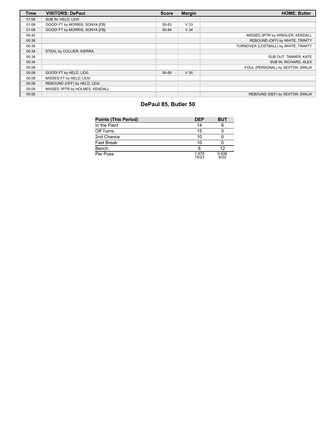| <b>Time</b> | <b>VISITORS: DePaul</b>        | <b>Score</b> | <b>Margin</b>   | <b>HOME: Butler</b>                   |
|-------------|--------------------------------|--------------|-----------------|---------------------------------------|
| 01:08       | SUB IN: HELD, LEXI             |              |                 |                                       |
| 01:08       | GOOD! FT by MORRIS, SONYA [FB] | 50-83        | V <sub>33</sub> |                                       |
| 01:08       | GOOD! FT by MORRIS, SONYA [FB] | 50-84        | V <sub>34</sub> |                                       |
| 00:42       |                                |              |                 | MISSED 3PTR by WINGLER, KENDALL       |
| 00:36       |                                |              |                 | REBOUND (OFF) by WHITE, TRINITY       |
| 00:34       |                                |              |                 | TURNOVER (LOSTBALL) by WHITE, TRINITY |
| 00:34       | STEAL by COLLIER, KIERRA       |              |                 |                                       |
| 00:34       |                                |              |                 | SUB OUT: TANNER, KATE                 |
| 00:34       |                                |              |                 | SUB IN: RICHARD, ALEX                 |
| 00:08       |                                |              |                 | FOUL (PERSONAL) by SEXTON, EMILIA     |
| 00:08       | GOOD! FT by HELD, LEXI         | 50-85        | V <sub>35</sub> |                                       |
| 00:08       | MISSED FT by HELD, LEXI        |              |                 |                                       |
| 00:06       | REBOUND (OFF) by HELD, LEXI    |              |                 |                                       |
| 00:04       | MISSED 3PTR by HOLMES, KENDALL |              |                 |                                       |
| 00:00       |                                |              |                 | REBOUND (DEF) by SEXTON, EMILIA       |

# **DePaul 85, Butler 50**

| <b>Points (This Period)</b> | <b>DEP</b>     | <b>BUT</b>    |
|-----------------------------|----------------|---------------|
| In the Paint                | 14             |               |
| Off Turns                   | 15             |               |
| 2nd Chance                  | 10             |               |
| <b>Fast Break</b>           | 10             |               |
| Bench                       | 6              | 12            |
| Per Poss                    | 1.478<br>15/23 | 0.636<br>6/22 |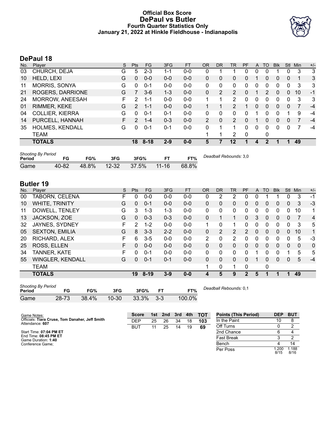# **Official Box Score DePaul vs Butler Fourth Quarter Statistics Only January 21, 2022 at Hinkle Fieldhouse - Indianapolis**



# **DePaul 18**

| No. | Plaver                 | S | <b>Pts</b>    | FG       | 3FG     | <b>FT</b> | <b>OR</b> | DR       | TR             | PF           | A | TO            | <b>Blk</b> | <b>Stl</b> | Min | $+/-$ |
|-----|------------------------|---|---------------|----------|---------|-----------|-----------|----------|----------------|--------------|---|---------------|------------|------------|-----|-------|
| 03  | CHURCH, DEJA           | G | 5             | $2 - 3$  | 1-1     | $0 - 0$   | 0         |          |                | 0            | 0 | 0             |            | 0          | 3   | -3    |
| 10  | HELD, LEXI             | G | 0             | $0 - 0$  | $0 - 0$ | $0 - 0$   | 0         | 0        | 0              | 0            |   | 0             | 0          | 0          |     | 3     |
| 11  | <b>MORRIS, SONYA</b>   | G | 0             | $0 - 1$  | $0 - 0$ | $0-0$     | 0         | $\Omega$ | 0              | 0            | 0 | 0             | 0          | 0          | 3   | 3     |
| 21  | ROGERS, DARRIONE       | G |               | $3-6$    | $1 - 3$ | $0 - 0$   | 0         | 2        | $\overline{2}$ | 0            |   | $\mathcal{P}$ | 0          | 0          | 10  | $-1$  |
| 24  | <b>MORROW, ANEESAH</b> | F | 2             | 1-1      | $0 - 0$ | $0 - 0$   |           |          | 2              | 0            | 0 | 0             | 0          | 0          | 3   | 3     |
| 01  | RIMMER, KEKE           | G | $2^{\circ}$   | $1 - 1$  | $0 - 0$ | $0 - 0$   |           |          | 2              |              | 0 | 0             | 0          | 0          | 7   | $-4$  |
| 04  | <b>COLLIER, KIERRA</b> | G | $\Omega$      | $0 - 1$  | $0 - 1$ | $0 - 0$   | 0         | $\Omega$ | 0              | 0            |   | 0             | 0          |            | 9   | $-4$  |
| 14  | PURCELL, HANNAH        | F | $\mathcal{P}$ | $1 - 4$  | $0 - 3$ | $0 - 0$   | 2         | 0        | 2              | 0            |   | 0             | $\Omega$   | 0          |     | $-4$  |
| 35  | <b>HOLMES, KENDALL</b> | G | 0             | $0 - 1$  | $0 - 1$ | $0-0$     | $\Omega$  |          | 1              | 0            | 0 | 0             | 0          | 0          |     | $-4$  |
|     | <b>TEAM</b>            |   |               |          |         |           |           |          | 2              | $\mathbf{0}$ |   | 0             |            |            |     |       |
|     | <b>TOTALS</b>          |   | 18            | $8 - 18$ | $2 - 9$ | $0 - 0$   | 5         |          | 12             |              | 4 |               |            |            | 49  |       |

| <b>Shooting By Period</b><br>Period | FG.   | FG%   | 3FG       | 3FG%  | FТ        | FT%   | Deadball Rebounds: 3,0 |
|-------------------------------------|-------|-------|-----------|-------|-----------|-------|------------------------|
| Game                                | 40-82 | 48.8% | $12 - 32$ | 37.5% | $11 - 16$ | 68.8% |                        |

# **Butler 19**

| No. | Plaver                | S | <b>Pts</b>    | <b>FG</b> | 3FG     | <b>FT</b> | <b>OR</b> | DR           | TR | PF | A            | TO       | <b>Blk</b> | Stl          | Min | $+/-$        |
|-----|-----------------------|---|---------------|-----------|---------|-----------|-----------|--------------|----|----|--------------|----------|------------|--------------|-----|--------------|
| 00  | TABORN, CELENA        | F | 0             | $0-0$     | $0-0$   | $0-0$     | 0         | 2            | 2  | 0  | 0            |          |            | 0            | 3   | $-1$         |
| 10  | WHITE, TRINITY        | G | 0             | $0 - 1$   | $0 - 0$ | $0 - 0$   | $\Omega$  | 0            | 0  | 0  | 0            | 0        | 0          | 0            | 3   | $-3$         |
| 11  | DOWELL, TENLEY        | G | 3             | $1 - 3$   | $1 - 3$ | $0 - 0$   | 0         | 0            | 0  | 0  | 0            | 0        | 0          | 0            | 10  | 1            |
| 13  | JACKSON, ZOE          | G | 0             | $0 - 3$   | $0 - 3$ | $0 - 0$   | $\Omega$  |              | 1  | 0  | 3            | $\Omega$ | 0          | $\mathbf{0}$ | 7   | 4            |
| 32  | JAYNES, SYDNEY        | F | $\mathcal{P}$ | $1 - 2$   | $0 - 0$ | $0 - 0$   | 1.        | 0            | 1  | 0  | $\Omega$     | $\Omega$ | 0          | 0            | 3   | 5            |
| 05  | <b>SEXTON, EMILIA</b> | G | 8             | $3 - 3$   | $2 - 2$ | $0 - 0$   | $\Omega$  | 2            | 2  | 2  | $\mathbf{0}$ | $\Omega$ | $\Omega$   | $\Omega$     | 10  | $\mathbf{1}$ |
| 20  | RICHARD, ALEX         | F | 6             | $3 - 5$   | $0 - 0$ | $0 - 0$   | 2         | $\mathbf{0}$ | 2  | 0  | 0            | $\Omega$ | 0          | 0            | 5   | -3           |
| 25  | ROSS, ELLEN           | F | 0             | $0 - 0$   | $0 - 0$ | $0 - 0$   | 0         | 0            | 0  | 0  | 0            | $\Omega$ | 0          | 0            | 0   | $\mathbf{0}$ |
| 34  | TANNER, KATE          | F | 0             | $0 - 1$   | $0 - 0$ | $0 - 0$   | 0         | 0            | 0  | 0  |              | 0        | 0          |              | 5   | 5            |
| 55  | WINGLER, KENDALL      | G | 0             | $0 - 1$   | $0 - 1$ | $0 - 0$   | $\Omega$  | 0            | 0  | 0  |              | 0        | $\Omega$   | $\Omega$     | 5   | $-4$         |
|     | <b>TEAM</b>           |   |               |           |         |           | 1         | 0            | 1  | 0  |              | 0        |            |              |     |              |
|     | <b>TOTALS</b>         |   | 19            | $8 - 19$  | $3 - 9$ | $0 - 0$   | 4         | 5            | 9  | 2  | 5            |          | 1          | и            | 49  |              |

| <b>Shooting By Period</b><br>Period | FG        | FG%   | 3FG       | 3FG%  | FТ    | FT%    | Deadball |
|-------------------------------------|-----------|-------|-----------|-------|-------|--------|----------|
| Game                                | $28 - 73$ | 38.4% | $10 - 30$ | 33.3% | $3-3$ | 100.0% |          |

*Deadball Rebounds:* 0,1

| Game Notes:                                                        | <b>Score</b> |    | 1st 2nd | 3rd |    | 4th TOT | <b>Points (This Period)</b> | <b>DEP</b>   | <b>BUT</b>    |
|--------------------------------------------------------------------|--------------|----|---------|-----|----|---------|-----------------------------|--------------|---------------|
| Officials: Tiara Cruse, Tom Danaher, Jeff Smith<br>Attendance: 607 | <b>DEP</b>   | 25 | 26      | 34  | 18 | 103     | In the Paint                | 10           |               |
|                                                                    | BUT          |    | 25      | 14  | 19 | 69      | Off Turns                   |              |               |
| Start Time: 07:04 PM ET                                            |              |    |         |     |    |         | 2nd Chance                  |              |               |
| End Time: 08:45 PM ET<br>Game Duration: 1:40                       |              |    |         |     |    |         | Fast Break                  |              |               |
| Conference Game:                                                   |              |    |         |     |    |         | Bench                       |              | 14            |
|                                                                    |              |    |         |     |    |         | Per Poss                    | .200<br>8/15 | 1.188<br>8/16 |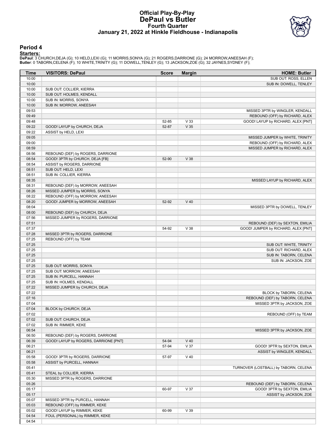## **Official Play-By-Play DePaul vs Butler Fourth Quarter January 21, 2022 at Hinkle Fieldhouse - Indianapolis**



#### **Period 4**

<mark>Starters :</mark><br>DePaul: 3 CHURCH,DEJA (G); 10 HELD,LEXI (G); 11 MORRIS,SONYA (G); 21 ROGERS,DARRIONE (G); 24 MORROW,ANEESAH (F);<br>Butler: 0 TABORN,CELENA (F); 10 WHITE,TRINITY (G); 11 DOWELL,TENLEY (G); 13 JACKSON,ZOE (G); 32

| Time  | <b>VISITORS: DePaul</b>               | <b>Score</b> | <b>Margin</b>   | <b>HOME: Butler</b>                   |
|-------|---------------------------------------|--------------|-----------------|---------------------------------------|
| 10:00 |                                       |              |                 | SUB OUT: ROSS, ELLEN                  |
| 10:00 |                                       |              |                 | SUB IN: DOWELL, TENLEY                |
| 10:00 | SUB OUT: COLLIER, KIERRA              |              |                 |                                       |
| 10:00 | SUB OUT: HOLMES, KENDALL              |              |                 |                                       |
| 10:00 | SUB IN: MORRIS, SONYA                 |              |                 |                                       |
| 10:00 | SUB IN: MORROW, ANEESAH               |              |                 |                                       |
| 09:53 |                                       |              |                 | MISSED 3PTR by WINGLER, KENDALL       |
| 09:49 |                                       |              |                 | REBOUND (OFF) by RICHARD, ALEX        |
| 09:48 |                                       | 52-85        | V <sub>33</sub> | GOOD! LAYUP by RICHARD, ALEX [PNT]    |
| 09:22 | GOOD! LAYUP by CHURCH, DEJA           | 52-87        | V <sub>35</sub> |                                       |
| 09:22 | ASSIST by HELD, LEXI                  |              |                 |                                       |
| 09:05 |                                       |              |                 | MISSED JUMPER by WHITE, TRINITY       |
| 09:00 |                                       |              |                 | REBOUND (OFF) by RICHARD, ALEX        |
| 08:59 |                                       |              |                 | MISSED JUMPER by RICHARD, ALEX        |
| 08:56 | REBOUND (DEF) by ROGERS, DARRIONE     |              |                 |                                       |
| 08:54 | GOOD! 3PTR by CHURCH, DEJA [FB]       | 52-90        | V 38            |                                       |
| 08:54 | ASSIST by ROGERS, DARRIONE            |              |                 |                                       |
| 08:51 | SUB OUT: HELD, LEXI                   |              |                 |                                       |
| 08:51 | SUB IN: COLLIER, KIERRA               |              |                 |                                       |
| 08:35 |                                       |              |                 | MISSED LAYUP by RICHARD, ALEX         |
| 08:31 | REBOUND (DEF) by MORROW, ANEESAH      |              |                 |                                       |
| 08:26 | MISSED JUMPER by MORRIS, SONYA        |              |                 |                                       |
| 08:22 | REBOUND (OFF) by MORROW, ANEESAH      |              |                 |                                       |
| 08:20 | GOOD! JUMPER by MORROW, ANEESAH       | 52-92        | $V$ 40          |                                       |
| 08:04 |                                       |              |                 | MISSED 3PTR by DOWELL, TENLEY         |
| 08:00 | REBOUND (DEF) by CHURCH, DEJA         |              |                 |                                       |
| 07:56 | MISSED JUMPER by ROGERS, DARRIONE     |              |                 |                                       |
| 07:51 |                                       |              |                 | REBOUND (DEF) by SEXTON, EMILIA       |
| 07:37 |                                       | 54-92        | V 38            | GOOD! JUMPER by RICHARD, ALEX [PNT]   |
| 07:28 | MISSED 3PTR by ROGERS, DARRIONE       |              |                 |                                       |
| 07:25 | REBOUND (OFF) by TEAM                 |              |                 |                                       |
| 07:25 |                                       |              |                 | SUB OUT: WHITE, TRINITY               |
| 07:25 |                                       |              |                 | SUB OUT: RICHARD, ALEX                |
| 07:25 |                                       |              |                 | SUB IN: TABORN, CELENA                |
| 07:25 |                                       |              |                 | SUB IN: JACKSON, ZOE                  |
| 07:25 | SUB OUT: MORRIS, SONYA                |              |                 |                                       |
| 07:25 | SUB OUT: MORROW, ANEESAH              |              |                 |                                       |
| 07:25 | SUB IN: PURCELL, HANNAH               |              |                 |                                       |
| 07:25 | SUB IN: HOLMES, KENDALL               |              |                 |                                       |
| 07:22 | MISSED JUMPER by CHURCH, DEJA         |              |                 |                                       |
| 07:22 |                                       |              |                 | BLOCK by TABORN, CELENA               |
| 07:16 |                                       |              |                 | REBOUND (DEF) by TABORN, CELENA       |
| 07:04 |                                       |              |                 | MISSED 3PTR by JACKSON, ZOE           |
| 07:04 | BLOCK by CHURCH, DEJA                 |              |                 |                                       |
| 07:02 |                                       |              |                 | REBOUND (OFF) by TEAM                 |
| 07:02 | SUB OUT: CHURCH, DEJA                 |              |                 |                                       |
| 07:02 | SUB IN: RIMMER, KEKE                  |              |                 |                                       |
| 06:54 |                                       |              |                 | MISSED 3PTR by JACKSON, ZOE           |
| 06:50 | REBOUND (DEF) by ROGERS, DARRIONE     |              |                 |                                       |
| 06:39 | GOOD! LAYUP by ROGERS, DARRIONE [PNT] | 54-94        | $V$ 40          |                                       |
| 06:21 |                                       | 57-94        | V 37            | GOOD! 3PTR by SEXTON, EMILIA          |
| 06:21 |                                       |              |                 | ASSIST by WINGLER, KENDALL            |
| 05:58 | GOOD! 3PTR by ROGERS, DARRIONE        | 57-97        | $V$ 40          |                                       |
| 05:58 | ASSIST by PURCELL, HANNAH             |              |                 |                                       |
| 05:41 |                                       |              |                 | TURNOVER (LOSTBALL) by TABORN, CELENA |
| 05:41 | STEAL by COLLIER, KIERRA              |              |                 |                                       |
| 05:30 | MISSED 3PTR by ROGERS, DARRIONE       |              |                 |                                       |
| 05:26 |                                       |              |                 | REBOUND (DEF) by TABORN, CELENA       |
| 05:17 |                                       | 60-97        | V 37            | GOOD! 3PTR by SEXTON, EMILIA          |
| 05:17 |                                       |              |                 | ASSIST by JACKSON, ZOE                |
| 05:07 | MISSED 3PTR by PURCELL, HANNAH        |              |                 |                                       |
| 05:03 | REBOUND (OFF) by RIMMER, KEKE         |              |                 |                                       |
| 05:02 | GOOD! LAYUP by RIMMER, KEKE           | 60-99        | V39             |                                       |
| 04:54 | FOUL (PERSONAL) by RIMMER, KEKE       |              |                 |                                       |
| 04:54 |                                       |              |                 |                                       |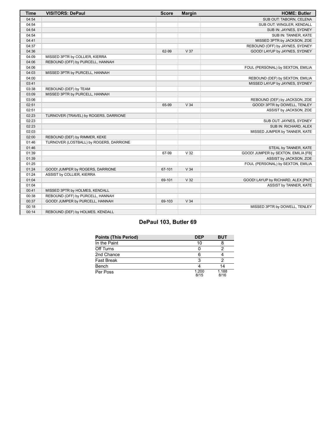| <b>Time</b> | <b>VISITORS: DePaul</b>                 | <b>Score</b> | <b>Margin</b>   | <b>HOME: Butler</b>                 |
|-------------|-----------------------------------------|--------------|-----------------|-------------------------------------|
| 04:54       |                                         |              |                 | SUB OUT: TABORN, CELENA             |
| 04:54       |                                         |              |                 | SUB OUT: WINGLER, KENDALL           |
| 04:54       |                                         |              |                 | SUB IN: JAYNES, SYDNEY              |
| 04:54       |                                         |              |                 | SUB IN: TANNER, KATE                |
| 04:41       |                                         |              |                 | MISSED 3PTR by JACKSON, ZOE         |
| 04:37       |                                         |              |                 | REBOUND (OFF) by JAYNES, SYDNEY     |
| 04:36       |                                         | 62-99        | V <sub>37</sub> | GOOD! LAYUP by JAYNES, SYDNEY       |
| 04:09       | MISSED 3PTR by COLLIER, KIERRA          |              |                 |                                     |
| 04:06       | REBOUND (OFF) by PURCELL, HANNAH        |              |                 |                                     |
| 04:06       |                                         |              |                 | FOUL (PERSONAL) by SEXTON, EMILIA   |
| 04:03       | MISSED 3PTR by PURCELL, HANNAH          |              |                 |                                     |
| 04:00       |                                         |              |                 | REBOUND (DEF) by SEXTON, EMILIA     |
| 03:41       |                                         |              |                 | MISSED LAYUP by JAYNES, SYDNEY      |
| 03:38       | REBOUND (DEF) by TEAM                   |              |                 |                                     |
| 03:09       | MISSED 3PTR by PURCELL, HANNAH          |              |                 |                                     |
| 03:06       |                                         |              |                 | REBOUND (DEF) by JACKSON, ZOE       |
| 02:51       |                                         | 65-99        | V <sub>34</sub> | GOOD! 3PTR by DOWELL, TENLEY        |
| 02:51       |                                         |              |                 | ASSIST by JACKSON, ZOE              |
| 02:23       | TURNOVER (TRAVEL) by ROGERS, DARRIONE   |              |                 |                                     |
| 02:23       |                                         |              |                 | SUB OUT: JAYNES, SYDNEY             |
| 02:23       |                                         |              |                 | SUB IN: RICHARD, ALEX               |
| 02:03       |                                         |              |                 | MISSED JUMPER by TANNER, KATE       |
| 02:00       | REBOUND (DEF) by RIMMER, KEKE           |              |                 |                                     |
| 01:46       | TURNOVER (LOSTBALL) by ROGERS, DARRIONE |              |                 |                                     |
| 01:46       |                                         |              |                 | STEAL by TANNER, KATE               |
| 01:39       |                                         | 67-99        | V <sub>32</sub> | GOOD! JUMPER by SEXTON, EMILIA [FB] |
| 01:39       |                                         |              |                 | ASSIST by JACKSON, ZOE              |
| 01:25       |                                         |              |                 | FOUL (PERSONAL) by SEXTON, EMILIA   |
| 01:24       | GOOD! JUMPER by ROGERS, DARRIONE        | 67-101       | V <sub>34</sub> |                                     |
| 01:24       | ASSIST by COLLIER, KIERRA               |              |                 |                                     |
| 01:04       |                                         | 69-101       | V <sub>32</sub> | GOOD! LAYUP by RICHARD, ALEX [PNT]  |
| 01:04       |                                         |              |                 | ASSIST by TANNER, KATE              |
| 00:41       | MISSED 3PTR by HOLMES, KENDALL          |              |                 |                                     |
| 00:38       | REBOUND (OFF) by PURCELL, HANNAH        |              |                 |                                     |
| 00:37       | GOOD! JUMPER by PURCELL, HANNAH         | 69-103       | V <sub>34</sub> |                                     |
| 00:18       |                                         |              |                 | MISSED 3PTR by DOWELL, TENLEY       |
| 00:14       | REBOUND (DEF) by HOLMES, KENDALL        |              |                 |                                     |

# **DePaul 103, Butler 69**

| <b>Points (This Period)</b> | <b>DEP</b>    | <b>BUT</b>    |
|-----------------------------|---------------|---------------|
| In the Paint                | 10            |               |
| Off Turns                   |               |               |
| 2nd Chance                  |               |               |
| <b>Fast Break</b>           |               |               |
| Bench                       |               | 14            |
| Per Poss                    | 1.200<br>8/15 | 1.188<br>8/16 |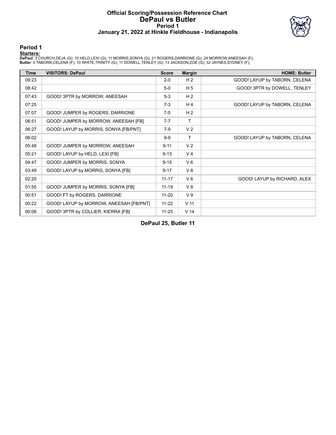### **Official Scoring/Possession Reference Chart DePaul vs Butler Period 1 January 21, 2022 at Hinkle Fieldhouse - Indianapolis**



# **Period 1**

<mark>Starters :</mark><br>DePaul: 3 CHURCH,DEJA (G); 10 HELD,LEXI (G); 11 MORRIS,SONYA (G); 21 ROGERS,DARRIONE (G); 24 MORROW,ANEESAH (F);<br>Butler: 0 TABORN,CELENA (F); 10 WHITE,TRINITY (G); 11 DOWELL,TENLEY (G); 13 JACKSON,ZOE (G); 32

| <b>Time</b> | <b>VISITORS: DePaul</b>                 | <b>Score</b> | <b>Margin</b>   | <b>HOME: Butler</b>           |
|-------------|-----------------------------------------|--------------|-----------------|-------------------------------|
| 09:23       |                                         | $2 - 0$      | H <sub>2</sub>  | GOOD! LAYUP by TABORN, CELENA |
| 08:42       |                                         | $5-0$        | H <sub>5</sub>  | GOOD! 3PTR by DOWELL, TENLEY  |
| 07:43       | GOOD! 3PTR by MORROW, ANEESAH           | $5-3$        | H <sub>2</sub>  |                               |
| 07:25       |                                         | $7 - 3$      | H4              | GOOD! LAYUP by TABORN, CELENA |
| 07:07       | GOOD! JUMPER by ROGERS, DARRIONE        | $7-5$        | H <sub>2</sub>  |                               |
| 06:51       | GOOD! JUMPER by MORROW, ANEESAH [FB]    | $7 - 7$      | T               |                               |
| 06:27       | GOOD! LAYUP by MORRIS, SONYA [FB/PNT]   | $7-9$        | V <sub>2</sub>  |                               |
| 06:02       |                                         | $9-9$        | т               | GOOD! LAYUP by TABORN, CELENA |
| 05:48       | GOOD! JUMPER by MORROW, ANEESAH         | $9 - 11$     | V <sub>2</sub>  |                               |
| 05:21       | GOOD! LAYUP by HELD, LEXI [FB]          | $9 - 13$     | V <sub>4</sub>  |                               |
| 04:47       | GOOD! JUMPER by MORRIS, SONYA           | $9 - 15$     | $V_6$           |                               |
| 03:49       | GOOD! LAYUP by MORRIS, SONYA [FB]       | $9 - 17$     | V8              |                               |
| 02:20       |                                         | $11 - 17$    | $V_6$           | GOOD! LAYUP by RICHARD, ALEX  |
| 01:55       | GOOD! JUMPER by MORRIS, SONYA [FB]      | $11 - 19$    | V8              |                               |
| 00:51       | GOOD! FT by ROGERS, DARRIONE            | $11 - 20$    | V <sub>9</sub>  |                               |
| 00:22       | GOOD! LAYUP by MORROW, ANEESAH [FB/PNT] | $11 - 22$    | V <sub>11</sub> |                               |
| 00:06       | GOOD! 3PTR by COLLIER, KIERRA [FB]      | $11 - 25$    | V <sub>14</sub> |                               |

**DePaul 25, Butler 11**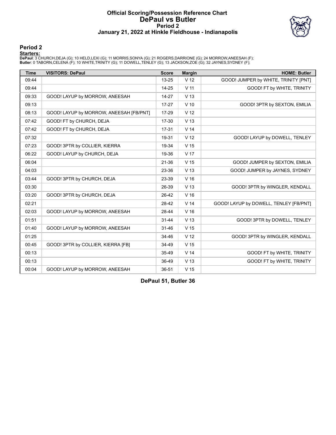### **Official Scoring/Possession Reference Chart DePaul vs Butler Period 2 January 21, 2022 at Hinkle Fieldhouse - Indianapolis**



# **Period 2**

<mark>Starters :</mark><br>DePaul: 3 CHURCH,DEJA (G); 10 HELD,LEXI (G); 11 MORRIS,SONYA (G); 21 ROGERS,DARRIONE (G); 24 MORROW,ANEESAH (F);<br>Butler: 0 TABORN,CELENA (F); 10 WHITE,TRINITY (G); 11 DOWELL,TENLEY (G); 13 JACKSON,ZOE (G); 32

| <b>Time</b> | <b>VISITORS: DePaul</b>                 | <b>Score</b> | <b>Margin</b>   | <b>HOME: Butler</b>                    |
|-------------|-----------------------------------------|--------------|-----------------|----------------------------------------|
| 09:44       |                                         | 13-25        | V <sub>12</sub> | GOOD! JUMPER by WHITE, TRINITY [PNT]   |
| 09:44       |                                         | $14 - 25$    | V <sub>11</sub> | GOOD! FT by WHITE, TRINITY             |
| 09:33       | GOOD! LAYUP by MORROW, ANEESAH          | $14 - 27$    | V <sub>13</sub> |                                        |
| 09:13       |                                         | $17 - 27$    | $V$ 10          | GOOD! 3PTR by SEXTON, EMILIA           |
| 08:13       | GOOD! LAYUP by MORROW, ANEESAH [FB/PNT] | 17-29        | V <sub>12</sub> |                                        |
| 07:42       | GOOD! FT by CHURCH, DEJA                | 17-30        | V <sub>13</sub> |                                        |
| 07:42       | GOOD! FT by CHURCH, DEJA                | $17-31$      | V <sub>14</sub> |                                        |
| 07:32       |                                         | 19-31        | V <sub>12</sub> | GOOD! LAYUP by DOWELL, TENLEY          |
| 07:23       | GOOD! 3PTR by COLLIER, KIERRA           | 19-34        | V <sub>15</sub> |                                        |
| 06:22       | GOOD! LAYUP by CHURCH, DEJA             | 19-36        | V <sub>17</sub> |                                        |
| 06:04       |                                         | 21-36        | V <sub>15</sub> | GOOD! JUMPER by SEXTON, EMILIA         |
| 04:03       |                                         | 23-36        | V <sub>13</sub> | GOOD! JUMPER by JAYNES, SYDNEY         |
| 03:44       | GOOD! 3PTR by CHURCH, DEJA              | 23-39        | V <sub>16</sub> |                                        |
| 03:30       |                                         | 26-39        | V <sub>13</sub> | GOOD! 3PTR by WINGLER, KENDALL         |
| 03:20       | GOOD! 3PTR by CHURCH, DEJA              | 26-42        | V <sub>16</sub> |                                        |
| 02:21       |                                         | 28-42        | V <sub>14</sub> | GOOD! LAYUP by DOWELL, TENLEY [FB/PNT] |
| 02:03       | GOOD! LAYUP by MORROW, ANEESAH          | 28-44        | V <sub>16</sub> |                                        |
| 01:51       |                                         | $31 - 44$    | V <sub>13</sub> | GOOD! 3PTR by DOWELL, TENLEY           |
| 01:40       | GOOD! LAYUP by MORROW, ANEESAH          | $31 - 46$    | V <sub>15</sub> |                                        |
| 01:25       |                                         | 34-46        | V <sub>12</sub> | GOOD! 3PTR by WINGLER, KENDALL         |
| 00:45       | GOOD! 3PTR by COLLIER, KIERRA [FB]      | 34-49        | V <sub>15</sub> |                                        |
| 00:13       |                                         | 35-49        | V <sub>14</sub> | GOOD! FT by WHITE, TRINITY             |
| 00:13       |                                         | 36-49        | V <sub>13</sub> | GOOD! FT by WHITE, TRINITY             |
| 00:04       | GOOD! LAYUP by MORROW, ANEESAH          | 36-51        | V <sub>15</sub> |                                        |

**DePaul 51, Butler 36**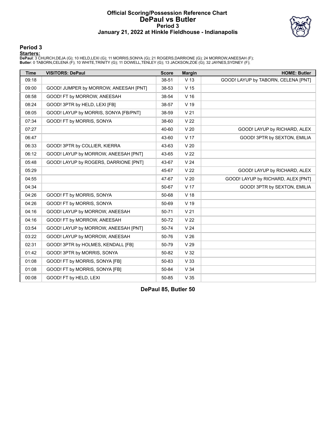### **Official Scoring/Possession Reference Chart DePaul vs Butler Period 3 January 21, 2022 at Hinkle Fieldhouse - Indianapolis**



# **Period 3**

<mark>Starters :</mark><br>DePaul: 3 CHURCH,DEJA (G); 10 HELD,LEXI (G); 11 MORRIS,SONYA (G); 21 ROGERS,DARRIONE (G); 24 MORROW,ANEESAH (F);<br>Butler: 0 TABORN,CELENA (F); 10 WHITE,TRINITY (G); 11 DOWELL,TENLEY (G); 13 JACKSON,ZOE (G); 32

| <b>Time</b> | <b>VISITORS: DePaul</b>               | <b>Score</b> | <b>Margin</b>   | <b>HOME: Butler</b>                 |
|-------------|---------------------------------------|--------------|-----------------|-------------------------------------|
| 09:18       |                                       | 38-51        | V <sub>13</sub> | GOOD! LAYUP by TABORN, CELENA [PNT] |
| 09:00       | GOOD! JUMPER by MORROW, ANEESAH [PNT] | 38-53        | V <sub>15</sub> |                                     |
| 08:58       | GOOD! FT by MORROW, ANEESAH           | 38-54        | V <sub>16</sub> |                                     |
| 08:24       | GOOD! 3PTR by HELD, LEXI [FB]         | 38-57        | $V$ 19          |                                     |
| 08:05       | GOOD! LAYUP by MORRIS, SONYA [FB/PNT] | 38-59        | V <sub>21</sub> |                                     |
| 07:34       | GOOD! FT by MORRIS, SONYA             | 38-60        | V <sub>22</sub> |                                     |
| 07:27       |                                       | 40-60        | V <sub>20</sub> | GOOD! LAYUP by RICHARD, ALEX        |
| 06:47       |                                       | 43-60        | V <sub>17</sub> | GOOD! 3PTR by SEXTON, EMILIA        |
| 06:33       | GOOD! 3PTR by COLLIER, KIERRA         | 43-63        | V <sub>20</sub> |                                     |
| 06:12       | GOOD! LAYUP by MORROW, ANEESAH [PNT]  | 43-65        | V <sub>22</sub> |                                     |
| 05:48       | GOOD! LAYUP by ROGERS, DARRIONE [PNT] | 43-67        | V <sub>24</sub> |                                     |
| 05:29       |                                       | 45-67        | V <sub>22</sub> | GOOD! LAYUP by RICHARD, ALEX        |
| 04:55       |                                       | 47-67        | V <sub>20</sub> | GOOD! LAYUP by RICHARD, ALEX [PNT]  |
| 04:34       |                                       | 50-67        | V <sub>17</sub> | GOOD! 3PTR by SEXTON, EMILIA        |
| 04:26       | GOOD! FT by MORRIS, SONYA             | 50-68        | V 18            |                                     |
| 04:26       | GOOD! FT by MORRIS, SONYA             | 50-69        | V <sub>19</sub> |                                     |
| 04:16       | GOOD! LAYUP by MORROW, ANEESAH        | 50-71        | V <sub>21</sub> |                                     |
| 04:16       | GOOD! FT by MORROW, ANEESAH           | 50-72        | V <sub>22</sub> |                                     |
| 03:54       | GOOD! LAYUP by MORROW, ANEESAH [PNT]  | 50-74        | V <sub>24</sub> |                                     |
| 03:22       | GOOD! LAYUP by MORROW, ANEESAH        | 50-76        | V <sub>26</sub> |                                     |
| 02:31       | GOOD! 3PTR by HOLMES, KENDALL [FB]    | 50-79        | V <sub>29</sub> |                                     |
| 01:42       | GOOD! 3PTR by MORRIS, SONYA           | 50-82        | V <sub>32</sub> |                                     |
| 01:08       | GOOD! FT by MORRIS, SONYA [FB]        | 50-83        | V <sub>33</sub> |                                     |
| 01:08       | GOOD! FT by MORRIS, SONYA [FB]        | 50-84        | V <sub>34</sub> |                                     |
| 00:08       | GOOD! FT by HELD, LEXI                | 50-85        | V <sub>35</sub> |                                     |

**DePaul 85, Butler 50**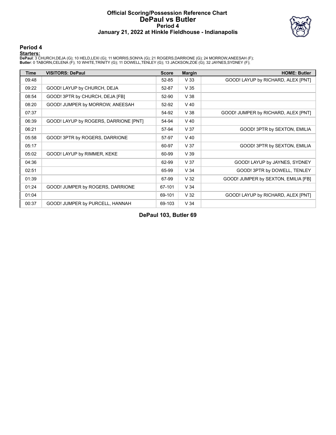### **Official Scoring/Possession Reference Chart DePaul vs Butler Period 4 January 21, 2022 at Hinkle Fieldhouse - Indianapolis**



### **Period 4**

<mark>Starters :</mark><br>DePaul: 3 CHURCH,DEJA (G); 10 HELD,LEXI (G); 11 MORRIS,SONYA (G); 21 ROGERS,DARRIONE (G); 24 MORROW,ANEESAH (F);<br>Butler: 0 TABORN,CELENA (F); 10 WHITE,TRINITY (G); 11 DOWELL,TENLEY (G); 13 JACKSON,ZOE (G); 32

| Time  | <b>VISITORS: DePaul</b>               | <b>Score</b> | <b>Margin</b>   | <b>HOME: Butler</b>                 |
|-------|---------------------------------------|--------------|-----------------|-------------------------------------|
| 09:48 |                                       | 52-85        | V <sub>33</sub> | GOOD! LAYUP by RICHARD, ALEX [PNT]  |
| 09:22 | GOOD! LAYUP by CHURCH, DEJA           | 52-87        | V <sub>35</sub> |                                     |
| 08:54 | GOOD! 3PTR by CHURCH, DEJA [FB]       | 52-90        | V38             |                                     |
| 08:20 | GOOD! JUMPER by MORROW, ANEESAH       | 52-92        | $V$ 40          |                                     |
| 07:37 |                                       | 54-92        | V38             | GOOD! JUMPER by RICHARD, ALEX [PNT] |
| 06:39 | GOOD! LAYUP by ROGERS, DARRIONE [PNT] | 54-94        | $V$ 40          |                                     |
| 06:21 |                                       | 57-94        | V <sub>37</sub> | GOOD! 3PTR by SEXTON, EMILIA        |
| 05:58 | GOOD! 3PTR by ROGERS, DARRIONE        | 57-97        | $V$ 40          |                                     |
| 05:17 |                                       | 60-97        | V <sub>37</sub> | GOOD! 3PTR by SEXTON, EMILIA        |
| 05:02 | GOOD! LAYUP by RIMMER, KEKE           | 60-99        | V <sub>39</sub> |                                     |
| 04:36 |                                       | 62-99        | V <sub>37</sub> | GOOD! LAYUP by JAYNES, SYDNEY       |
| 02:51 |                                       | 65-99        | V <sub>34</sub> | GOOD! 3PTR by DOWELL, TENLEY        |
| 01:39 |                                       | 67-99        | V <sub>32</sub> | GOOD! JUMPER by SEXTON, EMILIA [FB] |
| 01:24 | GOOD! JUMPER by ROGERS, DARRIONE      | 67-101       | V <sub>34</sub> |                                     |
| 01:04 |                                       | 69-101       | V <sub>32</sub> | GOOD! LAYUP by RICHARD, ALEX [PNT]  |
| 00:37 | GOOD! JUMPER by PURCELL, HANNAH       | 69-103       | V <sub>34</sub> |                                     |

**DePaul 103, Butler 69**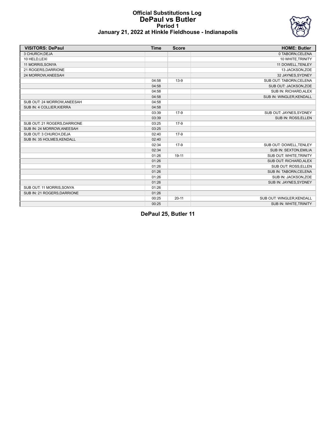### **Official Substitutions Log DePaul vs Butler Period 1 January 21, 2022 at Hinkle Fieldhouse - Indianapolis**



| <b>VISITORS: DePaul</b>      | <b>Time</b> | <b>Score</b> | <b>HOME: Butler</b>       |
|------------------------------|-------------|--------------|---------------------------|
| 3 CHURCH.DEJA                |             |              | 0 TABORN, CELENA          |
| 10 HELD, LEXI                |             |              | 10 WHITE, TRINITY         |
| 11 MORRIS, SONYA             |             |              | 11 DOWELL, TENLEY         |
| 21 ROGERS, DARRIONE          |             |              | 13 JACKSON, ZOE           |
| 24 MORROW, ANEESAH           |             |              | 32 JAYNES, SYDNEY         |
|                              | 04:58       | $13-9$       | SUB OUT: TABORN, CELENA   |
|                              | 04:58       |              | SUB OUT: JACKSON, ZOE     |
|                              | 04:58       |              | SUB IN: RICHARD, ALEX     |
|                              | 04:58       |              | SUB IN: WINGLER, KENDALL  |
| SUB OUT: 24 MORROW, ANEESAH  | 04:58       |              |                           |
| SUB IN: 4 COLLIER, KIERRA    | 04:58       |              |                           |
|                              | 03:39       | $17-9$       | SUB OUT: JAYNES, SYDNEY   |
|                              | 03:39       |              | SUB IN: ROSS, ELLEN       |
| SUB OUT: 21 ROGERS, DARRIONE | 03:25       | $17-9$       |                           |
| SUB IN: 24 MORROW, ANEESAH   | 03:25       |              |                           |
| SUB OUT: 3 CHURCH, DEJA      | 02:40       | $17-9$       |                           |
| SUB IN: 35 HOLMES, KENDALL   | 02:40       |              |                           |
|                              | 02:34       | $17-9$       | SUB OUT: DOWELL, TENLEY   |
|                              | 02:34       |              | SUB IN: SEXTON, EMILIA    |
|                              | 01:26       | $19 - 11$    | SUB OUT: WHITE, TRINITY   |
|                              | 01:26       |              | SUB OUT: RICHARD, ALEX    |
|                              | 01:26       |              | SUB OUT: ROSS, ELLEN      |
|                              | 01:26       |              | SUB IN: TABORN, CELENA    |
|                              | 01:26       |              | SUB IN: JACKSON, ZOE      |
|                              | 01:26       |              | SUB IN: JAYNES, SYDNEY    |
| SUB OUT: 11 MORRIS, SONYA    | 01:26       |              |                           |
| SUB IN: 21 ROGERS, DARRIONE  | 01:26       |              |                           |
|                              | 00:25       | $20 - 11$    | SUB OUT: WINGLER, KENDALL |
|                              | 00:25       |              | SUB IN: WHITE, TRINITY    |

**DePaul 25, Butler 11**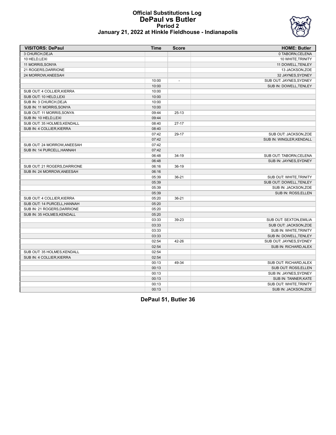### **Official Substitutions Log DePaul vs Butler Period 2 January 21, 2022 at Hinkle Fieldhouse - Indianapolis**



| <b>VISITORS: DePaul</b>      | <b>Time</b> | <b>Score</b>             | <b>HOME: Butler</b>      |
|------------------------------|-------------|--------------------------|--------------------------|
| 3 CHURCH, DEJA               |             |                          | 0 TABORN, CELENA         |
| 10 HELD, LEXI                |             |                          | 10 WHITE, TRINITY        |
| 11 MORRIS, SONYA             |             |                          | 11 DOWELL, TENLEY        |
| 21 ROGERS, DARRIONE          |             |                          | 13 JACKSON, ZOE          |
| 24 MORROW, ANEESAH           |             |                          | 32 JAYNES, SYDNEY        |
|                              | 10:00       | $\overline{\phantom{a}}$ | SUB OUT: JAYNES, SYDNEY  |
|                              | 10:00       |                          | SUB IN: DOWELL, TENLEY   |
| SUB OUT: 4 COLLIER, KIERRA   | 10:00       |                          |                          |
| SUB OUT: 10 HELD, LEXI       | 10:00       |                          |                          |
| SUB IN: 3 CHURCH, DEJA       | 10:00       |                          |                          |
| SUB IN: 11 MORRIS, SONYA     | 10:00       |                          |                          |
| SUB OUT: 11 MORRIS, SONYA    | 09:44       | $25-13$                  |                          |
| SUB IN: 10 HELD, LEXI        | 09:44       |                          |                          |
| SUB OUT: 35 HOLMES, KENDALL  | 08:40       | $27-17$                  |                          |
| SUB IN: 4 COLLIER, KIERRA    | 08:40       |                          |                          |
|                              | 07:42       | 29-17                    | SUB OUT: JACKSON, ZOE    |
|                              | 07:42       |                          | SUB IN: WINGLER, KENDALL |
| SUB OUT: 24 MORROW.ANEESAH   | 07:42       |                          |                          |
| SUB IN: 14 PURCELL, HANNAH   | 07:42       |                          |                          |
|                              | 06:48       | 34-19                    | SUB OUT: TABORN, CELENA  |
|                              | 06:48       |                          | SUB IN: JAYNES, SYDNEY   |
| SUB OUT: 21 ROGERS, DARRIONE | 06:16       | $36-19$                  |                          |
| SUB IN: 24 MORROW, ANEESAH   | 06:16       |                          |                          |
|                              | 05:39       | $36 - 21$                | SUB OUT: WHITE, TRINITY  |
|                              | 05:39       |                          | SUB OUT: DOWELL, TENLEY  |
|                              | 05:39       |                          | SUB IN: JACKSON, ZOE     |
|                              | 05:39       |                          | SUB IN: ROSS, ELLEN      |
| SUB OUT: 4 COLLIER, KIERRA   | 05:20       | 36-21                    |                          |
| SUB OUT: 14 PURCELL, HANNAH  | 05:20       |                          |                          |
| SUB IN: 21 ROGERS, DARRIONE  | 05:20       |                          |                          |
| SUB IN: 35 HOLMES, KENDALL   | 05:20       |                          |                          |
|                              | 03:33       | 39-23                    | SUB OUT: SEXTON, EMILIA  |
|                              | 03:33       |                          | SUB OUT: JACKSON, ZOE    |
|                              | 03:33       |                          | SUB IN: WHITE, TRINITY   |
|                              | 03:33       |                          | SUB IN: DOWELL, TENLEY   |
|                              | 02:54       | 42-26                    | SUB OUT: JAYNES, SYDNEY  |
|                              | 02:54       |                          | SUB IN: RICHARD, ALEX    |
| SUB OUT: 35 HOLMES, KENDALL  | 02:54       |                          |                          |
| SUB IN: 4 COLLIER, KIERRA    | 02:54       |                          |                          |
|                              | 00:13       | 49-34                    | SUB OUT: RICHARD, ALEX   |
|                              | 00:13       |                          | SUB OUT: ROSS, ELLEN     |
|                              | 00:13       |                          | SUB IN: JAYNES, SYDNEY   |
|                              | 00:13       |                          | SUB IN: TANNER, KATE     |
|                              | 00:13       |                          | SUB OUT: WHITE, TRINITY  |
|                              | 00:13       |                          | SUB IN: JACKSON, ZOE     |
|                              |             |                          |                          |

**DePaul 51, Butler 36**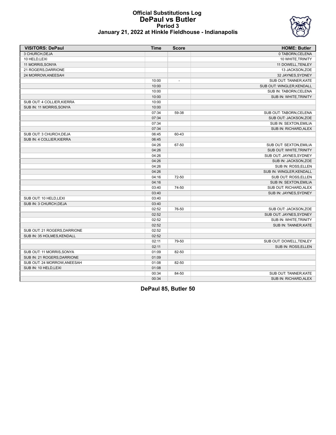

### **Official Substitutions Log DePaul vs Butler Period 3 January 21, 2022 at Hinkle Fieldhouse - Indianapolis**

| <b>VISITORS: DePaul</b>      | <b>Time</b> | <b>Score</b> | <b>HOME: Butler</b>       |
|------------------------------|-------------|--------------|---------------------------|
| 3 CHURCH, DEJA               |             |              | 0 TABORN, CELENA          |
| 10 HELD, LEXI                |             |              | 10 WHITE, TRINITY         |
| 11 MORRIS, SONYA             |             |              | 11 DOWELL, TENLEY         |
| 21 ROGERS, DARRIONE          |             |              | 13 JACKSON, ZOE           |
| 24 MORROW, ANEESAH           |             |              | 32 JAYNES, SYDNEY         |
|                              | 10:00       |              | SUB OUT: TANNER, KATE     |
|                              | 10:00       |              | SUB OUT: WINGLER, KENDALL |
|                              | 10:00       |              | SUB IN: TABORN, CELENA    |
|                              | 10:00       |              | SUB IN: WHITE, TRINITY    |
| SUB OUT: 4 COLLIER, KIERRA   | 10:00       |              |                           |
| SUB IN: 11 MORRIS, SONYA     | 10:00       |              |                           |
|                              | 07:34       | 59-38        | SUB OUT: TABORN, CELENA   |
|                              | 07:34       |              | SUB OUT: JACKSON,ZOE      |
|                              | 07:34       |              | SUB IN: SEXTON, EMILIA    |
|                              | 07:34       |              | SUB IN: RICHARD, ALEX     |
| SUB OUT: 3 CHURCH, DEJA      | 06:45       | 60-43        |                           |
| SUB IN: 4 COLLIER, KIERRA    | 06:45       |              |                           |
|                              | 04:26       | 67-50        | SUB OUT: SEXTON, EMILIA   |
|                              | 04:26       |              | SUB OUT: WHITE, TRINITY   |
|                              | 04:26       |              | SUB OUT: JAYNES, SYDNEY   |
|                              | 04:26       |              | SUB IN: JACKSON, ZOE      |
|                              | 04:26       |              | SUB IN: ROSS, ELLEN       |
|                              | 04:26       |              | SUB IN: WINGLER, KENDALL  |
|                              | 04:16       | 72-50        | SUB OUT: ROSS, ELLEN      |
|                              | 04:16       |              | SUB IN: SEXTON, EMILIA    |
|                              | 03:40       | 74-50        | SUB OUT: RICHARD, ALEX    |
|                              | 03:40       |              | SUB IN: JAYNES, SYDNEY    |
| SUB OUT: 10 HELD.LEXI        | 03:40       |              |                           |
| SUB IN: 3 CHURCH, DEJA       | 03:40       |              |                           |
|                              | 02:52       | 76-50        | SUB OUT: JACKSON, ZOE     |
|                              | 02:52       |              | SUB OUT: JAYNES, SYDNEY   |
|                              | 02:52       |              | SUB IN: WHITE, TRINITY    |
|                              | 02:52       |              | SUB IN: TANNER, KATE      |
| SUB OUT: 21 ROGERS, DARRIONE | 02:52       |              |                           |
| SUB IN: 35 HOLMES, KENDALL   | 02:52       |              |                           |
|                              | 02:11       | 79-50        | SUB OUT: DOWELL, TENLEY   |
|                              | 02:11       |              | SUB IN: ROSS, ELLEN       |
| SUB OUT: 11 MORRIS, SONYA    | 01:09       | 82-50        |                           |
| SUB IN: 21 ROGERS, DARRIONE  | 01:09       |              |                           |
| SUB OUT: 24 MORROW, ANEESAH  | 01:08       | 82-50        |                           |
| SUB IN: 10 HELD.LEXI         | 01:08       |              |                           |
|                              | 00:34       | 84-50        | SUB OUT: TANNER, KATE     |
|                              | 00:34       |              | SUB IN: RICHARD, ALEX     |

**DePaul 85, Butler 50**